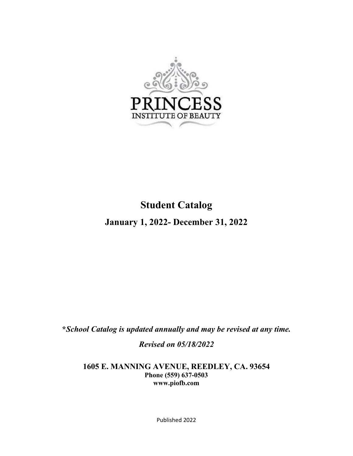

# **Student Catalog**

**January 1, 2022- December 31, 2022**

**\****School Catalog is updated annually and may be revised at any time.*

*Revised on 05/18/2022*

**1605 E. MANNING AVENUE, REEDLEY, CA. 93654 Phone (559) 637-0503 [www.piofb.com](http://www.piofb.com/)**

Published 2022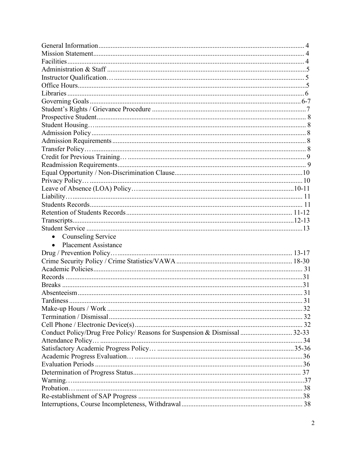| Counseling Service                                                         |  |
|----------------------------------------------------------------------------|--|
| <b>Placement Assistance</b><br>$\bullet$                                   |  |
|                                                                            |  |
|                                                                            |  |
|                                                                            |  |
|                                                                            |  |
|                                                                            |  |
|                                                                            |  |
|                                                                            |  |
|                                                                            |  |
|                                                                            |  |
|                                                                            |  |
| Conduct Policy/Drug Free Policy/ Reasons for Suspension & Dismissal  32-33 |  |
|                                                                            |  |
|                                                                            |  |
|                                                                            |  |
|                                                                            |  |
|                                                                            |  |
|                                                                            |  |
|                                                                            |  |
|                                                                            |  |
|                                                                            |  |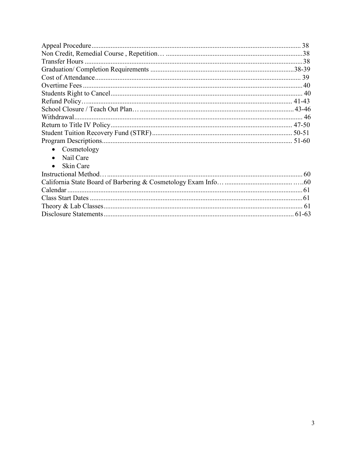| Cosmetology<br>$\bullet$ |  |
|--------------------------|--|
| Nail Care<br>$\bullet$   |  |
| Skin Care<br>$\bullet$   |  |
|                          |  |
|                          |  |
|                          |  |
|                          |  |
|                          |  |
|                          |  |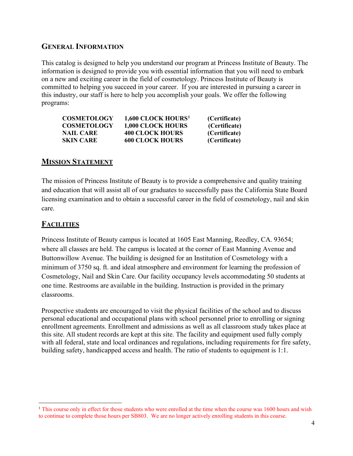# **GENERAL INFORMATION**

This catalog is designed to help you understand our program at Princess Institute of Beauty. The information is designed to provide you with essential information that you will need to embark on a new and exciting career in the field of cosmetology. Princess Institute of Beauty is committed to helping you succeed in your career. If you are interested in pursuing a career in this industry, our staff is here to help you accomplish your goals. We offer the following programs:

| <b>COSMETOLOGY</b> | 1,600 CLOCK HOURS <sup>1</sup> | (Certificate) |
|--------------------|--------------------------------|---------------|
| <b>COSMETOLOGY</b> | <b>1,000 CLOCK HOURS</b>       | (Certificate) |
| <b>NAIL CARE</b>   | <b>400 CLOCK HOURS</b>         | (Certificate) |
| <b>SKIN CARE</b>   | <b>600 CLOCK HOURS</b>         | (Certificate) |

# **MISSION STATEMENT**

The mission of Princess Institute of Beauty is to provide a comprehensive and quality training and education that will assist all of our graduates to successfully pass the California State Board licensing examination and to obtain a successful career in the field of cosmetology, nail and skin care.

# **FACILITIES**

Princess Institute of Beauty campus is located at 1605 East Manning, Reedley, CA. 93654; where all classes are held. The campus is located at the corner of East Manning Avenue and Buttonwillow Avenue. The building is designed for an Institution of Cosmetology with a minimum of 3750 sq. ft. and ideal atmosphere and environment for learning the profession of Cosmetology, Nail and Skin Care. Our facility occupancy levels accommodating 50 students at one time. Restrooms are available in the building. Instruction is provided in the primary classrooms.

Prospective students are encouraged to visit the physical facilities of the school and to discuss personal educational and occupational plans with school personnel prior to enrolling or signing enrollment agreements. Enrollment and admissions as well as all classroom study takes place at this site. All student records are kept at this site. The facility and equipment used fully comply with all federal, state and local ordinances and regulations, including requirements for fire safety, building safety, handicapped access and health. The ratio of students to equipment is 1:1.

<span id="page-3-0"></span> $<sup>1</sup>$  This course only in effect for those students who were enrolled at the time when the course was 1600 hours and wish</sup> to continue to complete those hours per SB803. We are no longer actively enrolling students in this course.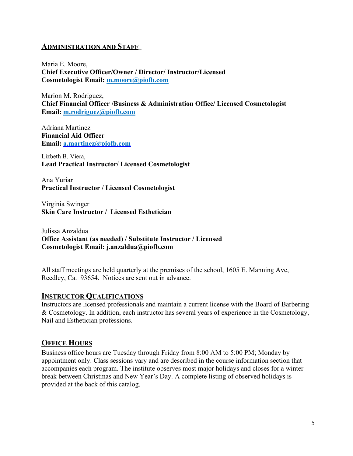### **ADMINISTRATION AND STAFF**

Maria E. Moore, **Chief Executive Officer/Owner / Director/ Instructor/Licensed Cosmetologist Email: [m.moore@piofb.com](mailto:m.moore@piofb.com)**

Marion M. Rodriguez, **Chief Financial Officer /Business & Administration Office/ Licensed Cosmetologist Email: [m.rodriguez@piofb.com](mailto:m.rodriguez@piofb.com)**

Adriana Martinez **Financial Aid Officer Email: [a.martinez@piofb.com](mailto:a.martinez@piofb.com)**

Lizbeth B. Viera, **Lead Practical Instructor/ Licensed Cosmetologist**

Ana Yuriar **Practical Instructor / Licensed Cosmetologist**

Virginia Swinger **Skin Care Instructor / Licensed Esthetician**

Julissa Anzaldua **Office Assistant (as needed) / Substitute Instructor / Licensed Cosmetologist Email: [j.anzaldua@piofb.com](mailto:j.anzaldua@piofb.com)**

All staff meetings are held quarterly at the premises of the school, 1605 E. Manning Ave, Reedley, Ca. 93654. Notices are sent out in advance.

# **INSTRUCTOR QUALIFICATIONS**

Instructors are licensed professionals and maintain a current license with the Board of Barbering & Cosmetology. In addition, each instructor has several years of experience in the Cosmetology, Nail and Esthetician professions.

# **OFFICE HOURS**

Business office hours are Tuesday through Friday from 8:00 AM to 5:00 PM; Monday by appointment only. Class sessions vary and are described in the course information section that accompanies each program. The institute observes most major holidays and closes for a winter break between Christmas and New Year's Day. A complete listing of observed holidays is provided at the back of this catalog.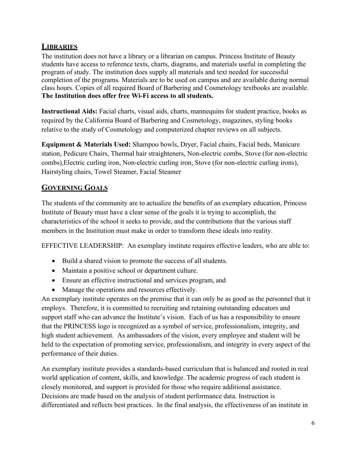# **LIBRARIES**

The institution does not have a library or a librarian on campus. Princess Institute of Beauty students have access to reference texts, charts, diagrams, and materials useful in completing the program of study. The institution does supply all materials and text needed for successful completion of the programs. Materials are to be used on campus and are available during normal class hours. Copies of all required Board of Barbering and Cosmetology textbooks are available. **The Institution does offer free Wi-Fi access to all students.**

**Instructional Aids:** Facial charts, visual aids, charts, mannequins for student practice, books as required by the California Board of Barbering and Cosmetology, magazines, styling books relative to the study of Cosmetology and computerized chapter reviews on all subjects.

**Equipment & Materials Used:** Shampoo bowls, Dryer, Facial chairs, Facial beds, Manicure station, Pedicure Chairs, Thermal hair straighteners, Non-electric combs, Stove (for non-electric combs),Electric curling iron, Non-electric curling iron, Stove (for non-electric curling irons), Hairstyling chairs, Towel Steamer, Facial Steamer

# **GOVERNING GOALS**

The students of the community are to actualize the benefits of an exemplary education, Princess Institute of Beauty must have a clear sense of the goals it is trying to accomplish, the characteristics of the school it seeks to provide, and the contributions that the various staff members in the Institution must make in order to transform these ideals into reality.

EFFECTIVE LEADERSHIP: An exemplary institute requires effective leaders, who are able to:

- Build a shared vision to promote the success of all students.
- Maintain a positive school or department culture.
- Ensure an effective instructional and services program, and
- Manage the operations and resources effectively.

An exemplary institute operates on the premise that it can only be as good as the personnel that it employs. Therefore, it is committed to recruiting and retaining outstanding educators and support staff who can advance the Institute's vision. Each of us has a responsibility to ensure that the PRINCESS logo is recognized as a symbol of service, professionalism, integrity, and high student achievement. As ambassadors of the vision, every employee and student will be held to the expectation of promoting service, professionalism, and integrity in every aspect of the performance of their duties.

An exemplary institute provides a standards-based curriculum that is balanced and rooted in real world application of content, skills, and knowledge. The academic progress of each student is closely monitored, and support is provided for those who require additional assistance. Decisions are made based on the analysis of student performance data. Instruction is differentiated and reflects best practices. In the final analysis, the effectiveness of an institute in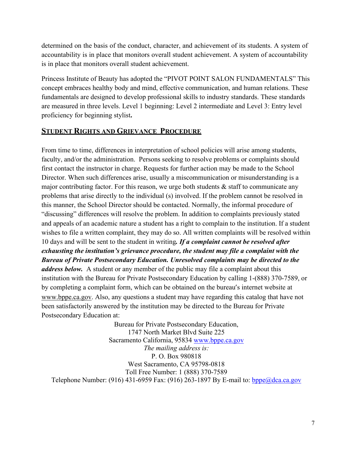determined on the basis of the conduct, character, and achievement of its students. A system of accountability is in place that monitors overall student achievement. A system of accountability is in place that monitors overall student achievement.

Princess Institute of Beauty has adopted the "PIVOT POINT SALON FUNDAMENTALS" This concept embraces healthy body and mind, effective communication, and human relations. These fundamentals are designed to develop professional skills to industry standards. These standards are measured in three levels. Level 1 beginning: Level 2 intermediate and Level 3: Entry level proficiency for beginning stylist**.** 

# **STUDENT RIGHTS AND GRIEVANCE PROCEDURE**

From time to time, differences in interpretation of school policies will arise among students, faculty, and/or the administration. Persons seeking to resolve problems or complaints should first contact the instructor in charge. Requests for further action may be made to the School Director. When such differences arise, usually a miscommunication or misunderstanding is a major contributing factor. For this reason, we urge both students  $\&$  staff to communicate any problems that arise directly to the individual (s) involved. If the problem cannot be resolved in this manner, the School Director should be contacted. Normally, the informal procedure of "discussing" differences will resolve the problem. In addition to complaints previously stated and appeals of an academic nature a student has a right to complain to the institution. If a student wishes to file a written complaint, they may do so. All written complaints will be resolved within 10 days and will be sent to the student in writing*. If a complaint cannot be resolved after exhausting the institution's grievance procedure, the student may file a complaint with the Bureau of Private Postsecondary Education. Unresolved complaints may be directed to the address below.* A student or any member of the public may file a complaint about this institution with the Bureau for Private Postsecondary Education by calling 1-(888) 370-7589, or by completing a complaint form, which can be obtained on the bureau's internet website at [www.bppe.ca.gov.](http://www.bppe.ca.gov/) Also, any questions a student may have regarding this catalog that have not been satisfactorily answered by the institution may be directed to the Bureau for Private Postsecondary Education at:

Bureau for Private Postsecondary Education, 1747 North Market Blvd Suite 225 Sacramento California, 95834 [www.bppe.ca.gov](http://www.bppe.ca.gov/) *The mailing address is:*  P. O. Box 980818 West Sacramento, CA 95798-0818 Toll Free Number: 1 (888) 370-7589 Telephone Number: (916) 431-6959 Fax: (916) 263-1897 By E-mail to:  $bppe@dea.ca.gov$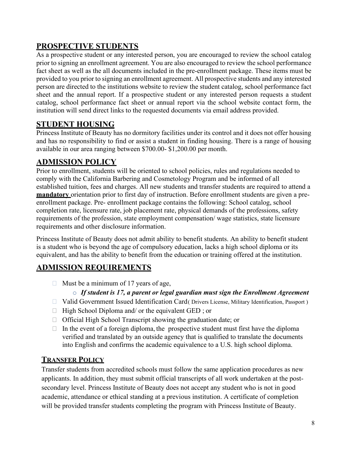# **PROSPECTIVE STUDENTS**

As a prospective student or any interested person, you are encouraged to review the school catalog prior to signing an enrollment agreement. You are also encouraged to review the school performance fact sheet as well as the all documents included in the pre-enrollment package. These items must be provided to you prior to signing an enrollment agreement. All prospective students and any interested person are directed to the institutions website to review the student catalog, school performance fact sheet and the annual report. If a prospective student or any interested person requests a student catalog, school performance fact sheet or annual report via the school website contact form, the institution will send direct links to the requested documents via email address provided.

# <span id="page-7-0"></span>**STUDENT HOUSING**

Princess Institute of Beauty has no dormitory facilities under its control and it does not offer housing and has no responsibility to find or assist a student in finding housing. There is a range of housing available in our area ranging between \$700.00- \$1,200.00 per month.

# <span id="page-7-1"></span>**ADMISSION POLICY**

Prior to enrollment, students will be oriented to school policies, rules and regulations needed to comply with the California Barbering and Cosmetology Program and be informed of all established tuition, fees and charges. All new students and transfer students are required to attend a **mandatory** orientation prior to first day of instruction. Before enrollment students are given a preenrollment package. Pre- enrollment package contains the following: School catalog, school completion rate, licensure rate, job placement rate, physical demands of the professions, safety requirements of the profession, state employment compensation/ wage statistics, state licensure requirements and other disclosure information.

Princess Institute of Beauty does not admit ability to benefit students. An ability to benefit student is a student who is beyond the age of compulsory education, lacks a high school diploma or its equivalent, and has the ability to benefit from the education or training offered at the institution.

# <span id="page-7-2"></span>**ADMISSION REQUIREMENTS**

 $\Box$  Must be a minimum of 17 years of age,

# o *If student is 17, a parent or legal guardian must sign the Enrollment Agreement*

- □ Valid Government Issued Identification Card ( Drivers License, Military Identification, Passport )
- $\Box$  High School Diploma and/ or the equivalent GED; or
- Official High School Transcript showing the graduation date; or
- $\Box$  In the event of a foreign diploma, the prospective student must first have the diploma verified and translated by an outside agency that is qualified to translate the documents into English and confirms the academic equivalence to a U.S. high school diploma.

# **TRANSFER POLICY**

Transfer students from accredited schools must follow the same application procedures as new applicants. In addition, they must submit official transcripts of all work undertaken at the postsecondary level. Princess Institute of Beauty does not accept any student who is not in good academic, attendance or ethical standing at a previous institution. A certificate of completion will be provided transfer students completing the program with Princess Institute of Beauty.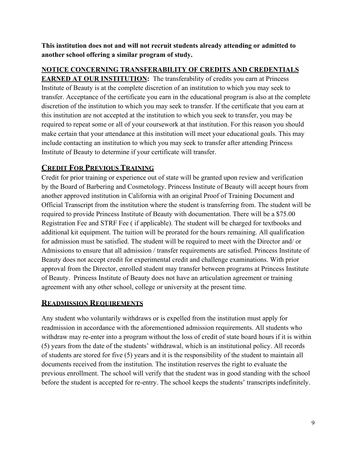**This institution does not and will not recruit students already attending or admitted to another school offering a similar program of study.** 

# **NOTICE CONCERNING TRANSFERABILITY OF CREDITS AND CREDENTIALS**

**EARNED AT OUR INSTITUTION:** The transferability of credits you earn at Princess Institute of Beauty is at the complete discretion of an institution to which you may seek to transfer. Acceptance of the certificate you earn in the educational program is also at the complete discretion of the institution to which you may seek to transfer. If the certificate that you earn at this institution are not accepted at the institution to which you seek to transfer, you may be required to repeat some or all of your coursework at that institution. For this reason you should make certain that your attendance at this institution will meet your educational goals. This may include contacting an institution to which you may seek to transfer after attending Princess Institute of Beauty to determine if your certificate will transfer.

# **CREDIT FOR PREVIOUS TRAINING**

Credit for prior training or experience out of state will be granted upon review and verification by the Board of Barbering and Cosmetology. Princess Institute of Beauty will accept hours from another approved institution in California with an original Proof of Training Document and Official Transcript from the institution where the student is transferring from. The student will be required to provide Princess Institute of Beauty with documentation. There will be a \$75.00 Registration Fee and STRF Fee ( if applicable). The student will be charged for textbooks and additional kit equipment. The tuition will be prorated for the hours remaining. All qualification for admission must be satisfied. The student will be required to meet with the Director and/ or Admissions to ensure that all admission / transfer requirements are satisfied. Princess Institute of Beauty does not accept credit for experimental credit and challenge examinations. With prior approval from the Director, enrolled student may transfer between programs at Princess Institute of Beauty. Princess Institute of Beauty does not have an articulation agreement or training agreement with any other school, college or university at the present time.

# **READMISSION REQUIREMENTS**

Any student who voluntarily withdraws or is expelled from the institution must apply for readmission in accordance with the aforementioned admission requirements. All students who withdraw may re-enter into a program without the loss of credit of state board hours if it is within (5) years from the date of the students' withdrawal, which is an institutional policy. All records of students are stored for five (5) years and it is the responsibility of the student to maintain all documents received from the institution. The institution reserves the right to evaluate the previous enrollment. The school will verify that the student was in good standing with the school before the student is accepted for re-entry. The school keeps the students' transcripts indefinitely.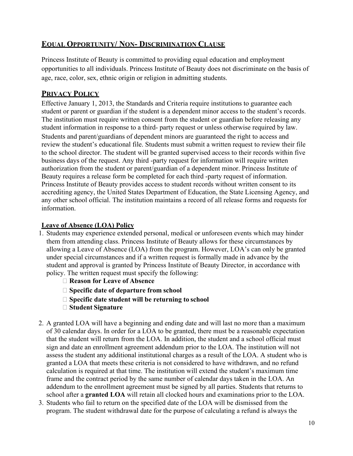# **EQUAL OPPORTUNITY/ NON- DISCRIMINATION CLAUSE**

Princess Institute of Beauty is committed to providing equal education and employment opportunities to all individuals. Princess Institute of Beauty does not discriminate on the basis of age, race, color, sex, ethnic origin or religion in admitting students.

# **PRIVACY POLICY**

Effective January 1, 2013, the Standards and Criteria require institutions to guarantee each student or parent or guardian if the student is a dependent minor access to the student's records. The institution must require written consent from the student or guardian before releasing any student information in response to a third- party request or unless otherwise required by law.

Students and parent/guardians of dependent minors are guaranteed the right to access and review the student's educational file. Students must submit a written request to review their file to the school director. The student will be granted supervised access to their records within five business days of the request. Any third -party request for information will require written authorization from the student or parent/guardian of a dependent minor. Princess Institute of Beauty requires a release form be completed for each third -party request of information. Princess Institute of Beauty provides access to student records without written consent to its accrediting agency, the United States Department of Education, the State Licensing Agency, and any other school official. The institution maintains a record of all release forms and requests for information.

# <span id="page-9-0"></span>**Leave of Absence (LOA) Policy**

- 1. Students may experience extended personal, medical or unforeseen events which may hinder them from attending class. Princess Institute of Beauty allows for these circumstances by allowing a Leave of Absence (LOA) from the program. However, LOA's can only be granted under special circumstances and if a written request is formally made in advance by the student and approval is granted by Princess Institute of Beauty Director, in accordance with policy. The written request must specify the following:
	- **Reason for Leave of Absence**
	- **Specific date of departure from school**
	- **Specific date student will be returning to school**
	- **Student Signature**
- 2. A granted LOA will have a beginning and ending date and will last no more than a maximum of 30 calendar days. In order for a LOA to be granted, there must be a reasonable expectation that the student will return from the LOA. In addition, the student and a school official must sign and date an enrollment agreement addendum prior to the LOA. The institution will not assess the student any additional institutional charges as a result of the LOA. A student who is granted a LOA that meets these criteria is not considered to have withdrawn, and no refund calculation is required at that time. The institution will extend the student's maximum time frame and the contract period by the same number of calendar days taken in the LOA. An addendum to the enrollment agreement must be signed by all parties. Students that returns to school after a **granted LOA** will retain all clocked hours and examinations prior to the LOA.
- 3. Students who fail to return on the specified date of the LOA will be dismissed from the program. The student withdrawal date for the purpose of calculating a refund is always the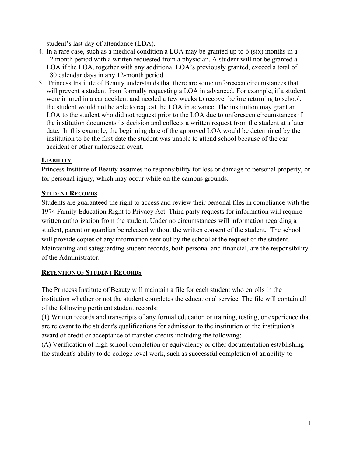student's last day of attendance (LDA).

- 4. In a rare case, such as a medical condition a LOA may be granted up to 6 (six) months in a 12 month period with a written requested from a physician. A student will not be granted a LOA if the LOA, together with any additional LOA's previously granted, exceed a total of 180 calendar days in any 12-month period.
- 5. Princess Institute of Beauty understands that there are some unforeseen circumstances that will prevent a student from formally requesting a LOA in advanced. For example, if a student were injured in a car accident and needed a few weeks to recover before returning to school, the student would not be able to request the LOA in advance. The institution may grant an LOA to the student who did not request prior to the LOA due to unforeseen circumstances if the institution documents its decision and collects a written request from the student at a later date. In this example, the beginning date of the approved LOA would be determined by the institution to be the first date the student was unable to attend school because of the car accident or other unforeseen event.

# **LIABILITY**

Princess Institute of Beauty assumes no responsibility for loss or damage to personal property, or for personal injury, which may occur while on the campus grounds.

# **STUDENT RECORDS**

Students are guaranteed the right to access and review their personal files in compliance with the 1974 Family Education Right to Privacy Act. Third party requests for information will require written authorization from the student. Under no circumstances will information regarding a student, parent or guardian be released without the written consent of the student. The school will provide copies of any information sent out by the school at the request of the student. Maintaining and safeguarding student records, both personal and financial, are the responsibility of the Administrator.

# **RETENTION OF STUDENT RECORDS**

The Princess Institute of Beauty will maintain a file for each student who enrolls in the institution whether or not the student completes the educational service. The file will contain all of the following pertinent student records:

(1) Written records and transcripts of any formal education or training, testing, or experience that are relevant to the student's qualifications for admission to the institution or the institution's award of credit or acceptance of transfer credits including the following:

(A) Verification of high school completion or equivalency or other documentation establishing the student's ability to do college level work, such as successful completion of an ability-to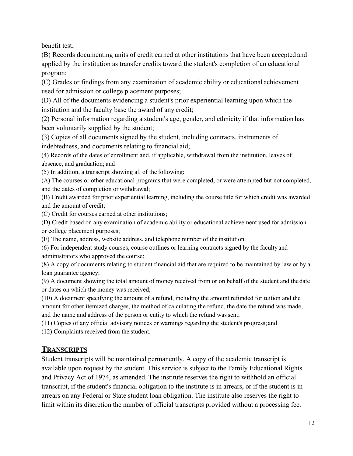benefit test;

(B) Records documenting units of credit earned at other institutions that have been accepted and applied by the institution as transfer credits toward the student's completion of an educational program;

(C) Grades or findings from any examination of academic ability or educational achievement used for admission or college placement purposes;

(D) All of the documents evidencing a student's prior experiential learning upon which the institution and the faculty base the award of any credit;

(2) Personal information regarding a student's age, gender, and ethnicity if that information has been voluntarily supplied by the student;

(3) Copies of all documents signed by the student, including contracts, instruments of indebtedness, and documents relating to financial aid;

(4) Records of the dates of enrollment and, if applicable, withdrawal from the institution, leaves of absence, and graduation; and

(5) In addition, a transcript showing all of the following:

(A) The courses or other educational programs that were completed, or were attempted but not completed, and the dates of completion or withdrawal;

(B) Credit awarded for prior experiential learning, including the course title for which credit was awarded and the amount of credit;

(C) Credit for courses earned at other institutions;

(D) Credit based on any examination of academic ability or educational achievement used for admission or college placement purposes;

(E) The name, address, website address, and telephone number of the institution.

(6) For independent study courses, course outlines or learning contracts signed by the faculty and administrators who approved the course;

(8) A copy of documents relating to student financial aid that are required to be maintained by law or by a loan guarantee agency;

(9) A document showing the total amount of money received from or on behalf of the student and the date or dates on which the money was received;

(10) A document specifying the amount of a refund, including the amount refunded for tuition and the amount for other itemized charges, the method of calculating the refund, the date the refund was made, and the name and address of the person or entity to which the refund was sent;

(11) Copies of any official advisory notices or warnings regarding the student's progress; and

(12) Complaints received from the student.

# **TRANSCRIPTS**

Student transcripts will be maintained permanently. A copy of the academic transcript is available upon request by the student. This service is subject to the Family Educational Rights and Privacy Act of 1974, as amended. The institute reserves the right to withhold an official transcript, if the student's financial obligation to the institute is in arrears, or if the student is in arrears on any Federal or State student loan obligation. The institute also reserves the right to limit within its discretion the number of official transcripts provided without a processing fee.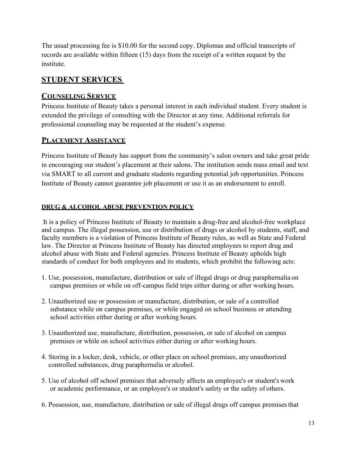The usual processing fee is \$10.00 for the second copy. Diplomas and official transcripts of records are available within fifteen (15) days from the receipt of a written request by the institute.

# **STUDENT SERVICES**

# **COUNSELING SERVICE**

Princess Institute of Beauty takes a personal interest in each individual student. Every student is extended the privilege of consulting with the Director at any time. Additional referrals for professional counseling may be requested at the student's expense.

# **PLACEMENT ASSISTANCE**

Princess Institute of Beauty has support from the community's salon owners and take great pride in encouraging our student's placement at their salons. The institution sends mass email and text via SMART to all current and graduate students regarding potential job opportunities. Princess Institute of Beauty cannot guarantee job placement or use it as an endorsement to enroll.

# **DRUG & ALCOHOL ABUSE PREVENTION POLICY**

It is a policy of Princess Institute of Beauty to maintain a drug-free and alcohol-free workplace and campus. The illegal possession, use or distribution of drugs or alcohol by students, staff, and faculty members is a violation of Princess Institute of Beauty rules, as well as State and Federal law. The Director at Princess Institute of Beauty has directed employees to report drug and alcohol abuse with State and Federal agencies. Princess Institute of Beauty upholds high standards of conduct for both employees and its students, which prohibit the following acts:

- 1. Use, possession, manufacture, distribution or sale of illegal drugs or drug paraphernalia on campus premises or while on off-campus field trips either during or after working hours.
- 2. Unauthorized use or possession or manufacture, distribution, or sale of a controlled substance while on campus premises, or while engaged on school business or attending school activities either during or after working hours.
- 3. Unauthorized use, manufacture, distribution, possession, or sale of alcohol on campus premises or while on school activities either during or after working hours.
- 4. Storing in a locker, desk, vehicle, or other place on school premises, any unauthorized controlled substances, drug paraphernalia or alcohol.
- 5. Use of alcohol off school premises that adversely affects an employee's or student's work or academic performance, or an employee's or student's safety or the safety of others.
- 6. Possession, use, manufacture, distribution or sale of illegal drugs off campus premises that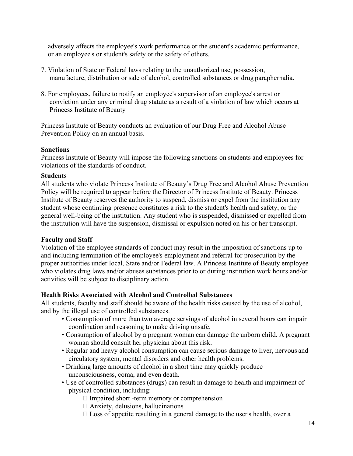adversely affects the employee's work performance or the student's academic performance, or an employee's or student's safety or the safety of others.

- 7. Violation of State or Federal laws relating to the unauthorized use, possession, manufacture, distribution or sale of alcohol, controlled substances or drug paraphernalia.
- 8. For employees, failure to notify an employee's supervisor of an employee's arrest or conviction under any criminal drug statute as a result of a violation of law which occurs at Princess Institute of Beauty

Princess Institute of Beauty conducts an evaluation of our Drug Free and Alcohol Abuse Prevention Policy on an annual basis.

#### **Sanctions**

Princess Institute of Beauty will impose the following sanctions on students and employees for violations of the standards of conduct.

#### **Students**

All students who violate Princess Institute of Beauty's Drug Free and Alcohol Abuse Prevention Policy will be required to appear before the Director of Princess Institute of Beauty. Princess Institute of Beauty reserves the authority to suspend, dismiss or expel from the institution any student whose continuing presence constitutes a risk to the student's health and safety, or the general well-being of the institution. Any student who is suspended, dismissed or expelled from the institution will have the suspension, dismissal or expulsion noted on his or her transcript.

#### **Faculty and Staff**

Violation of the employee standards of conduct may result in the imposition of sanctions up to and including termination of the employee's employment and referral for prosecution by the proper authorities under local, State and/or Federal law. A Princess Institute of Beauty employee who violates drug laws and/or abuses substances prior to or during institution work hours and/or activities will be subject to disciplinary action.

# **Health Risks Associated with Alcohol and Controlled Substances**

All students, faculty and staff should be aware of the health risks caused by the use of alcohol, and by the illegal use of controlled substances.

- Consumption of more than two average servings of alcohol in several hours can impair coordination and reasoning to make driving unsafe.
- Consumption of alcohol by a pregnant woman can damage the unborn child. A pregnant woman should consult her physician about this risk.
- Regular and heavy alcohol consumption can cause serious damage to liver, nervous and circulatory system, mental disorders and other health problems.
- Drinking large amounts of alcohol in a short time may quickly produce unconsciousness, coma, and even death.
- Use of controlled substances (drugs) can result in damage to health and impairment of physical condition, including:
	- Impaired short -term memory or comprehension
	- $\Box$  Anxiety, delusions, hallucinations
	- $\Box$  Loss of appetite resulting in a general damage to the user's health, over a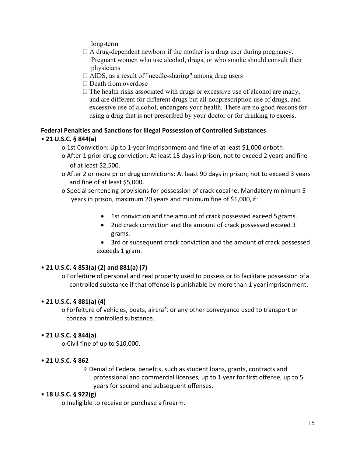long-term

- $\Box$  A drug-dependent newborn if the mother is a drug user during pregnancy. Pregnant women who use alcohol, drugs, or who smoke should consult their physicians
- □ AIDS, as a result of "needle-sharing" among drug users
- $\Box$  Death from overdose
- $\Box$  The health risks associated with drugs or excessive use of alcohol are many, and are different for different drugs but all nonprescription use of drugs, and excessive use of alcohol, endangers your health. There are no good reasons for using a drug that is not prescribed by your doctor or for drinking to excess.

# **Federal Penalties and Sanctions for Illegal Possession of Controlled Substances**

# • **21 U.S.C. § 844(a)**

- o 1st Conviction: Up to 1-year imprisonment and fine of at least \$1,000 orboth.
- o After 1 prior drug conviction: At least 15 days in prison, not to exceed 2 years andfine of at least \$2,500.
- o After 2 or more prior drug convictions: At least 90 days in prison, not to exceed 3 years and fine of at least \$5,000.
- o Special sentencing provisions for possession of crack cocaine: Mandatory minimum 5 years in prison, maximum 20 years and minimum fine of \$1,000, if:
	- 1st conviction and the amount of crack possessed exceed 5 grams.
	- 2nd crack conviction and the amount of crack possessed exceed 3 grams.
	- 3rd or subsequent crack conviction and the amount of crack possessed exceeds 1 gram.

# • **21 U.S.C. § 853(a) (2) and 881(a) (7)**

o Forfeiture of personal and real property used to possess or to facilitate possession ofa controlled substance if that offense is punishable by more than 1 yearimprisonment.

# • **21 U.S.C. § 881(a) (4)**

o Forfeiture of vehicles, boats, aircraft or any other conveyance used to transport or conceal a controlled substance.

# • **21 U.S.C. § 844(a)**

o Civil fine of up to \$10,000.

# • **21 U.S.C. § 862**

 Denial of Federal benefits, such as student loans, grants, contracts and professional and commercial licenses, up to 1 year for first offense, up to 5 years for second and subsequent offenses.

# • **18 U.S.C. § 922(g)**

o Ineligible to receive or purchase a firearm.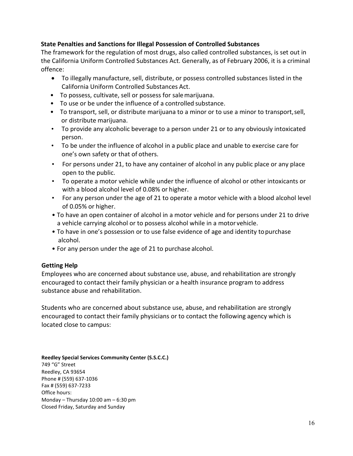# **State Penalties and Sanctions for Illegal Possession of Controlled Substances**

The framework for the regulation of most drugs, also called controlled substances, is set out in the California Uniform Controlled Substances Act. Generally, as of February 2006, it is a criminal offence:

- To illegally manufacture, sell, distribute, or possess controlled substances listed in the California Uniform Controlled Substances Act.
- To possess, cultivate, sell or possess for salemarijuana.
- To use or be under the influence of a controlled substance.
- To transport, sell, or distribute marijuana to a minor or to use a minor to transport,sell, or distribute marijuana.
- To provide any alcoholic beverage to a person under 21 or to any obviously intoxicated person.
- To be under the influence of alcohol in a public place and unable to exercise care for one's own safety or that of others.
- For persons under 21, to have any container of alcohol in any public place or any place open to the public.
- To operate a motor vehicle while under the influence of alcohol or other intoxicants or with a blood alcohol level of 0.08% or higher.
- For any person under the age of 21 to operate a motor vehicle with a blood alcohol level of 0.05% or higher.
- To have an open container of alcohol in a motor vehicle and for persons under 21 to drive a vehicle carrying alcohol or to possess alcohol while in a motor vehicle.
- To have in one's possession or to use false evidence of age and identity topurchase alcohol.
- For any person under the age of 21 to purchase alcohol.

# **Getting Help**

Employees who are concerned about substance use, abuse, and rehabilitation are strongly encouraged to contact their family physician or a health insurance program to address substance abuse and rehabilitation.

Students who are concerned about substance use, abuse, and rehabilitation are strongly encouraged to contact their family physicians or to contact the following agency which is located close to campus:

**Reedley Special Services Community Center (S.S.C.C.)** 749 "G" Street Reedley, CA 93654 Phone # (559) 637-1036 Fax # (559) 637-7233 Office hours: Monday – Thursday 10:00 am – 6:30 pm Closed Friday, Saturday and Sunday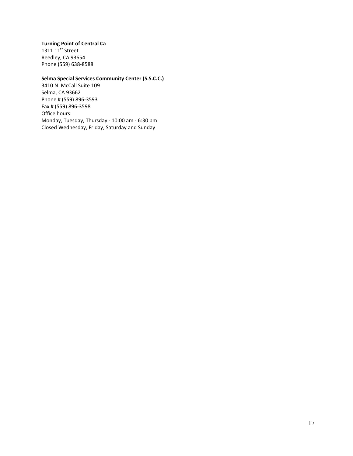#### **Turning Point of Central Ca**

1311 11<sup>th</sup> Street Reedley, CA 93654 Phone (559) 638-8588

#### **Selma Special Services Community Center (S.S.C.C.)**

3410 N. McCall Suite 109 Selma, CA 93662 Phone # (559) 896-3593 Fax # (559) 896-3598 Office hours: Monday, Tuesday, Thursday - 10:00 am - 6:30 pm Closed Wednesday, Friday, Saturday and Sunday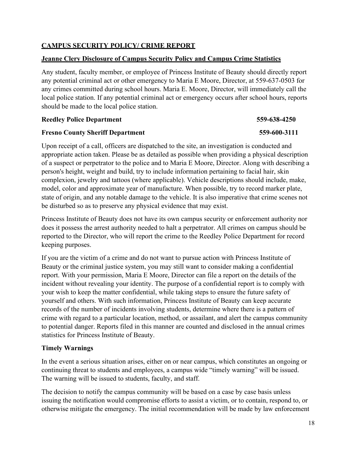### **CAMPUS SECURITY POLICY/ CRIME REPORT**

#### **Jeanne Clery Disclosure of Campus Security Policy and Campus Crime Statistics**

Any student, faculty member, or employee of Princess Institute of Beauty should directly report any potential criminal act or other emergency to Maria E Moore, Director, at 559-637-0503 for any crimes committed during school hours. Maria E. Moore, Director, will immediately call the local police station. If any potential criminal act or emergency occurs after school hours, reports should be made to the local police station.

#### **Reedley Police Department 559-638-4250**

### **Fresno County Sheriff Department 559-600-3111**

Upon receipt of a call, officers are dispatched to the site, an investigation is conducted and appropriate action taken. Please be as detailed as possible when providing a physical description of a suspect or perpetrator to the police and to Maria E Moore, Director. Along with describing a person's height, weight and build, try to include information pertaining to facial hair, skin complexion, jewelry and tattoos (where applicable). Vehicle descriptions should include, make, model, color and approximate year of manufacture. When possible, try to record marker plate, state of origin, and any notable damage to the vehicle. It is also imperative that crime scenes not be disturbed so as to preserve any physical evidence that may exist.

Princess Institute of Beauty does not have its own campus security or enforcement authority nor does it possess the arrest authority needed to halt a perpetrator. All crimes on campus should be reported to the Director, who will report the crime to the Reedley Police Department for record keeping purposes.

If you are the victim of a crime and do not want to pursue action with Princess Institute of Beauty or the criminal justice system, you may still want to consider making a confidential report. With your permission, Maria E Moore, Director can file a report on the details of the incident without revealing your identity. The purpose of a confidential report is to comply with your wish to keep the matter confidential, while taking steps to ensure the future safety of yourself and others. With such information, Princess Institute of Beauty can keep accurate records of the number of incidents involving students, determine where there is a pattern of crime with regard to a particular location, method, or assailant, and alert the campus community to potential danger. Reports filed in this manner are counted and disclosed in the annual crimes statistics for Princess Institute of Beauty.

#### **Timely Warnings**

In the event a serious situation arises, either on or near campus, which constitutes an ongoing or continuing threat to students and employees, a campus wide "timely warning" will be issued. The warning will be issued to students, faculty, and staff.

The decision to notify the campus community will be based on a case by case basis unless issuing the notification would compromise efforts to assist a victim, or to contain, respond to, or otherwise mitigate the emergency. The initial recommendation will be made by law enforcement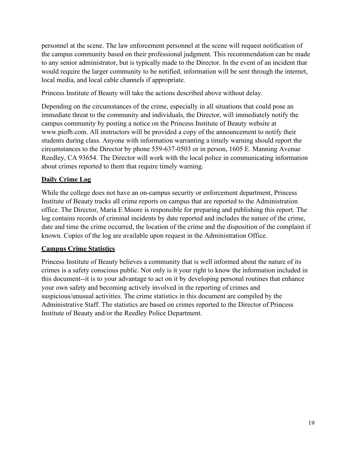personnel at the scene. The law enforcement personnel at the scene will request notification of the campus community based on their professional judgment. This recommendation can be made to any senior administrator, but is typically made to the Director. In the event of an incident that would require the larger community to be notified, information will be sent through the internet, local media, and local cable channels if appropriate.

Princess Institute of Beauty will take the actions described above without delay.

Depending on the circumstances of the crime, especially in all situations that could pose an immediate threat to the community and individuals, the Director, will immediately notify the campus community by posting a notice on the Princess Institute of Beauty website at [www.piofb.com.](http://www.piofb.com/) All instructors will be provided a copy of the announcement to notify their students during class. Anyone with information warranting a timely warning should report the circumstances to the Director by phone 559-637-0503 or in person, 1605 E. Manning Avenue Reedley, CA 93654. The Director will work with the local police in communicating information about crimes reported to them that require timely warning.

# **Daily Crime Log**

While the college does not have an on-campus security or enforcement department, Princess Institute of Beauty tracks all crime reports on campus that are reported to the Administration office. The Director, Maria E Moore is responsible for preparing and publishing this report. The log contains records of criminal incidents by date reported and includes the nature of the crime, date and time the crime occurred, the location of the crime and the disposition of the complaint if known. Copies of the log are available upon request in the Administration Office.

# **Campus Crime Statistics**

Princess Institute of Beauty believes a community that is well informed about the nature of its crimes is a safety conscious public. Not only is it your right to know the information included in this document--it is to your advantage to act on it by developing personal routines that enhance your own safety and becoming actively involved in the reporting of crimes and suspicious/unusual activities. The crime statistics in this document are compiled by the Administrative Staff. The statistics are based on crimes reported to the Director of Princess Institute of Beauty and/or the Reedley Police Department.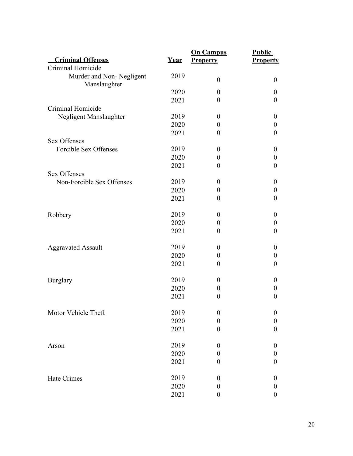|                                          |             | <b>On Campus</b> | <b>Public</b>    |
|------------------------------------------|-------------|------------------|------------------|
| <b>Criminal Offenses</b>                 | <u>Year</u> | <b>Property</b>  | <b>Property</b>  |
| Criminal Homicide                        |             |                  |                  |
| Murder and Non-Negligent<br>Manslaughter | 2019        | $\boldsymbol{0}$ | $\theta$         |
|                                          | 2020        | $\boldsymbol{0}$ | $\theta$         |
|                                          | 2021        | $\boldsymbol{0}$ | $\boldsymbol{0}$ |
| Criminal Homicide                        |             |                  |                  |
| Negligent Manslaughter                   | 2019        | $\boldsymbol{0}$ | $\theta$         |
|                                          | 2020        | $\boldsymbol{0}$ | $\boldsymbol{0}$ |
|                                          | 2021        | $\boldsymbol{0}$ | $\boldsymbol{0}$ |
| <b>Sex Offenses</b>                      |             |                  |                  |
| Forcible Sex Offenses                    | 2019        | $\boldsymbol{0}$ | $\theta$         |
|                                          | 2020        | $\boldsymbol{0}$ | $\boldsymbol{0}$ |
|                                          | 2021        | $\boldsymbol{0}$ | $\boldsymbol{0}$ |
| <b>Sex Offenses</b>                      |             |                  |                  |
| Non-Forcible Sex Offenses                | 2019        | $\boldsymbol{0}$ | $\boldsymbol{0}$ |
|                                          | 2020        | $\boldsymbol{0}$ | $\boldsymbol{0}$ |
|                                          | 2021        | $\theta$         | $\boldsymbol{0}$ |
| Robbery                                  | 2019        | $\boldsymbol{0}$ | $\theta$         |
|                                          | 2020        | $\boldsymbol{0}$ | $\boldsymbol{0}$ |
|                                          | 2021        | $\boldsymbol{0}$ | $\boldsymbol{0}$ |
| <b>Aggravated Assault</b>                | 2019        | $\boldsymbol{0}$ | $\theta$         |
|                                          | 2020        | $\boldsymbol{0}$ | $\boldsymbol{0}$ |
|                                          | 2021        | $\boldsymbol{0}$ | $\boldsymbol{0}$ |
| <b>Burglary</b>                          | 2019        | $\theta$         | $\theta$         |
|                                          | 2020        | $\boldsymbol{0}$ | $\boldsymbol{0}$ |
|                                          | 2021        | $\boldsymbol{0}$ | $\theta$         |
| Motor Vehicle Theft                      | 2019        | $\boldsymbol{0}$ | $\boldsymbol{0}$ |
|                                          | 2020        | $\boldsymbol{0}$ | $\boldsymbol{0}$ |
|                                          | 2021        | $\boldsymbol{0}$ | $\boldsymbol{0}$ |
| Arson                                    | 2019        | $\boldsymbol{0}$ | $\theta$         |
|                                          | 2020        | $\boldsymbol{0}$ | $\theta$         |
|                                          | 2021        | $\boldsymbol{0}$ | $\theta$         |
| Hate Crimes                              | 2019        | $\boldsymbol{0}$ | $\boldsymbol{0}$ |
|                                          | 2020        | $\boldsymbol{0}$ | $\boldsymbol{0}$ |
|                                          | 2021        | $\boldsymbol{0}$ | $\boldsymbol{0}$ |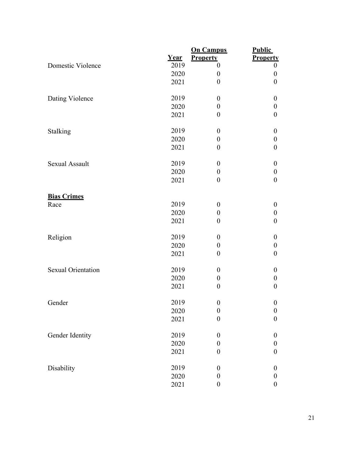|                           |             | <b>On Campus</b> | <b>Public</b>    |
|---------------------------|-------------|------------------|------------------|
|                           | <u>Year</u> | <b>Property</b>  | <b>Property</b>  |
| Domestic Violence         | 2019        | $\boldsymbol{0}$ | $\boldsymbol{0}$ |
|                           | 2020        | $\boldsymbol{0}$ | $\boldsymbol{0}$ |
|                           | 2021        | $\boldsymbol{0}$ | $\boldsymbol{0}$ |
| Dating Violence           | 2019        | $\boldsymbol{0}$ | $\boldsymbol{0}$ |
|                           | 2020        | $\boldsymbol{0}$ | $\boldsymbol{0}$ |
|                           | 2021        | $\boldsymbol{0}$ | $\boldsymbol{0}$ |
| Stalking                  | 2019        | $\boldsymbol{0}$ | $\boldsymbol{0}$ |
|                           | 2020        | $\boldsymbol{0}$ | $\boldsymbol{0}$ |
|                           | 2021        | $\boldsymbol{0}$ | $\boldsymbol{0}$ |
| <b>Sexual Assault</b>     | 2019        | $\boldsymbol{0}$ | $\boldsymbol{0}$ |
|                           | 2020        | $\boldsymbol{0}$ | $\boldsymbol{0}$ |
|                           | 2021        | $\boldsymbol{0}$ | $\boldsymbol{0}$ |
| <b>Bias Crimes</b>        |             |                  |                  |
| Race                      | 2019        | $\boldsymbol{0}$ | $\boldsymbol{0}$ |
|                           | 2020        | $\boldsymbol{0}$ | $\boldsymbol{0}$ |
|                           | 2021        | $\boldsymbol{0}$ | $\boldsymbol{0}$ |
| Religion                  | 2019        | $\boldsymbol{0}$ | $\boldsymbol{0}$ |
|                           | 2020        | $\boldsymbol{0}$ | $\boldsymbol{0}$ |
|                           | 2021        | $\boldsymbol{0}$ | $\boldsymbol{0}$ |
| <b>Sexual Orientation</b> | 2019        | $\boldsymbol{0}$ | $\boldsymbol{0}$ |
|                           | 2020        | $\boldsymbol{0}$ | $\boldsymbol{0}$ |
|                           | 2021        | $\boldsymbol{0}$ | $\boldsymbol{0}$ |
| Gender                    | 2019        | $\boldsymbol{0}$ | $\boldsymbol{0}$ |
|                           | 2020        | $\boldsymbol{0}$ | $\boldsymbol{0}$ |
|                           | 2021        | $\boldsymbol{0}$ | $\boldsymbol{0}$ |
| Gender Identity           | 2019        | $\boldsymbol{0}$ | $\boldsymbol{0}$ |
|                           | 2020        | $\boldsymbol{0}$ | $\boldsymbol{0}$ |
|                           | 2021        | $\boldsymbol{0}$ | $\boldsymbol{0}$ |
| Disability                | 2019        | $\boldsymbol{0}$ | $\boldsymbol{0}$ |
|                           | 2020        | $\boldsymbol{0}$ | $\boldsymbol{0}$ |
|                           | 2021        | $\boldsymbol{0}$ | $\boldsymbol{0}$ |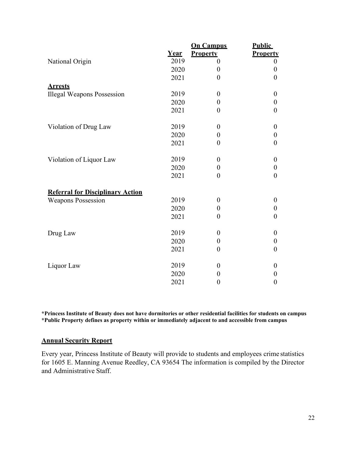|                                         |             | <b>On Campus</b> | <b>Public</b>    |
|-----------------------------------------|-------------|------------------|------------------|
|                                         | <b>Year</b> | <b>Property</b>  | <b>Property</b>  |
| National Origin                         | 2019        | $\theta$         | $\boldsymbol{0}$ |
|                                         | 2020        | $\boldsymbol{0}$ | $\boldsymbol{0}$ |
|                                         | 2021        | $\overline{0}$   | $\boldsymbol{0}$ |
| <b>Arrests</b>                          |             |                  |                  |
| <b>Illegal Weapons Possession</b>       | 2019        | $\boldsymbol{0}$ | $\boldsymbol{0}$ |
|                                         | 2020        | $\boldsymbol{0}$ | $\boldsymbol{0}$ |
|                                         | 2021        | $\overline{0}$   | $\overline{0}$   |
|                                         |             |                  |                  |
| Violation of Drug Law                   | 2019        | $\boldsymbol{0}$ | $\boldsymbol{0}$ |
|                                         | 2020        | $\boldsymbol{0}$ | $\boldsymbol{0}$ |
|                                         | 2021        | $\overline{0}$   | $\overline{0}$   |
|                                         |             |                  |                  |
| Violation of Liquor Law                 | 2019        | $\boldsymbol{0}$ | $\boldsymbol{0}$ |
|                                         | 2020        | $\boldsymbol{0}$ | $\boldsymbol{0}$ |
|                                         | 2021        | $\overline{0}$   | $\overline{0}$   |
|                                         |             |                  |                  |
| <b>Referral for Disciplinary Action</b> |             |                  |                  |
| <b>Weapons Possession</b>               | 2019        | $\boldsymbol{0}$ | $\boldsymbol{0}$ |
|                                         | 2020        | $\boldsymbol{0}$ | $\boldsymbol{0}$ |
|                                         | 2021        | $\theta$         | $\overline{0}$   |
|                                         |             |                  |                  |
| Drug Law                                | 2019        | $\boldsymbol{0}$ | $\boldsymbol{0}$ |
|                                         | 2020        | $\boldsymbol{0}$ | $\boldsymbol{0}$ |
|                                         | 2021        | $\boldsymbol{0}$ | $\boldsymbol{0}$ |
|                                         |             |                  |                  |
| Liquor Law                              | 2019        | $\boldsymbol{0}$ | $\boldsymbol{0}$ |
|                                         | 2020        | $\boldsymbol{0}$ | $\boldsymbol{0}$ |
|                                         | 2021        | $\boldsymbol{0}$ | $\boldsymbol{0}$ |

**\*Princess Institute of Beauty does not have dormitories or other residential facilities for students on campus \*Public Property defines as property within or immediately adjacent to and accessible from campus**

### **Annual Security Report**

Every year, Princess Institute of Beauty will provide to students and employees crime statistics for 1605 E. Manning Avenue Reedley, CA 93654 The information is compiled by the Director and Administrative Staff.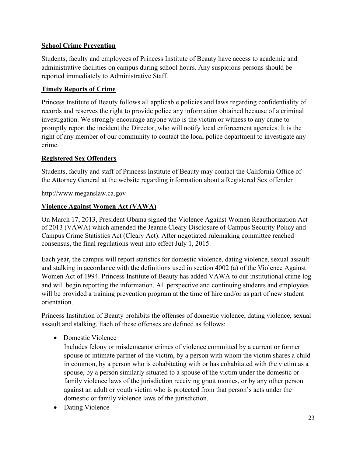# **School Crime Prevention**

Students, faculty and employees of Princess Institute of Beauty have access to academic and administrative facilities on campus during school hours. Any suspicious persons should be reported immediately to Administrative Staff.

# **Timely Reports of Crime**

Princess Institute of Beauty follows all applicable policies and laws regarding confidentiality of records and reserves the right to provide police any information obtained because of a criminal investigation. We strongly encourage anyone who is the victim or witness to any crime to promptly report the incident the Director, who will notify local enforcement agencies. It is the right of any member of our community to contact the local police department to investigate any crime.

# **Registered Sex Offenders**

Students, faculty and staff of Princess Institute of Beauty may contact the California Office of the Attorney General at the website regarding information about a Registered Sex offender

[http://www.meganslaw.ca.gov](http://www.meganslaw.ca.gov/)

# **Violence Against Women Act (VAWA)**

On March 17, 2013, President Obama signed the Violence Against Women Reauthorization Act of 2013 (VAWA) which amended the Jeanne Cleary Disclosure of Campus Security Policy and Campus Crime Statistics Act (Cleary Act). After negotiated rulemaking committee reached consensus, the final regulations went into effect July 1, 2015.

Each year, the campus will report statistics for domestic violence, dating violence, sexual assault and stalking in accordance with the definitions used in section 4002 (a) of the Violence Against Women Act of 1994. Princess Institute of Beauty has added VAWA to our institutional crime log and will begin reporting the information. All perspective and continuing students and employees will be provided a training prevention program at the time of hire and/or as part of new student orientation.

Princess Institution of Beauty prohibits the offenses of domestic violence, dating violence, sexual assault and stalking. Each of these offenses are defined as follows:

• Domestic Violence

Includes felony or misdemeanor crimes of violence committed by a current or former spouse or intimate partner of the victim, by a person with whom the victim shares a child in common, by a person who is cohabitating with or has cohabitated with the victim as a spouse, by a person similarly situated to a spouse of the victim under the domestic or family violence laws of the jurisdiction receiving grant monies, or by any other person against an adult or youth victim who is protected from that person's acts under the domestic or family violence laws of the jurisdiction.

• Dating Violence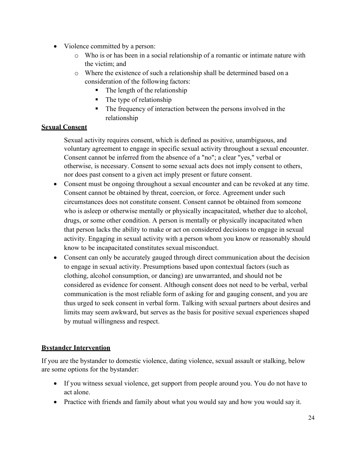- Violence committed by a person:
	- o Who is or has been in a social relationship of a romantic or intimate nature with the victim; and
	- o Where the existence of such a relationship shall be determined based on a consideration of the following factors:
		- $\blacksquare$  The length of the relationship
		- $\blacksquare$  The type of relationship
		- The frequency of interaction between the persons involved in the relationship

# **Sexual Consent**

Sexual activity requires consent, which is defined as positive, unambiguous, and voluntary agreement to engage in specific sexual activity throughout a sexual encounter. Consent cannot be inferred from the absence of a "no"; a clear "yes," verbal or otherwise, is necessary. Consent to some sexual acts does not imply consent to others, nor does past consent to a given act imply present or future consent.

- Consent must be ongoing throughout a sexual encounter and can be revoked at any time. Consent cannot be obtained by threat, coercion, or force. Agreement under such circumstances does not constitute consent. Consent cannot be obtained from someone who is asleep or otherwise mentally or physically incapacitated, whether due to alcohol, drugs, or some other condition. A person is mentally or physically incapacitated when that person lacks the ability to make or act on considered decisions to engage in sexual activity. Engaging in sexual activity with a person whom you know or reasonably should know to be incapacitated constitutes sexual misconduct.
- Consent can only be accurately gauged through direct communication about the decision to engage in sexual activity. Presumptions based upon contextual factors (such as clothing, alcohol consumption, or dancing) are unwarranted, and should not be considered as evidence for consent. Although consent does not need to be verbal, verbal communication is the most reliable form of asking for and gauging consent, and you are thus urged to seek consent in verbal form. Talking with sexual partners about desires and limits may seem awkward, but serves as the basis for positive sexual experiences shaped by mutual willingness and respect.

# **Bystander Intervention**

If you are the bystander to domestic violence, dating violence, sexual assault or stalking, below are some options for the bystander:

- If you witness sexual violence, get support from people around you. You do not have to act alone.
- Practice with friends and family about what you would say and how you would say it.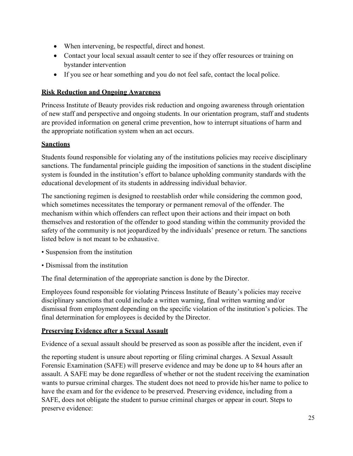- When intervening, be respectful, direct and honest.
- Contact your local sexual assault center to see if they offer resources or training on bystander intervention
- If you see or hear something and you do not feel safe, contact the local police.

# **Risk Reduction and Ongoing Awareness**

Princess Institute of Beauty provides risk reduction and ongoing awareness through orientation of new staff and perspective and ongoing students. In our orientation program, staff and students are provided information on general crime prevention, how to interrupt situations of harm and the appropriate notification system when an act occurs.

# **Sanctions**

Students found responsible for violating any of the institutions policies may receive disciplinary sanctions. The fundamental principle guiding the imposition of sanctions in the student discipline system is founded in the institution's effort to balance upholding community standards with the educational development of its students in addressing individual behavior.

The sanctioning regimen is designed to reestablish order while considering the common good, which sometimes necessitates the temporary or permanent removal of the offender. The mechanism within which offenders can reflect upon their actions and their impact on both themselves and restoration of the offender to good standing within the community provided the safety of the community is not jeopardized by the individuals' presence or return. The sanctions listed below is not meant to be exhaustive.

- Suspension from the institution
- Dismissal from the institution

The final determination of the appropriate sanction is done by the Director.

Employees found responsible for violating Princess Institute of Beauty's policies may receive disciplinary sanctions that could include a written warning, final written warning and/or dismissal from employment depending on the specific violation of the institution's policies. The final determination for employees is decided by the Director.

# **Preserving Evidence after a Sexual Assault**

Evidence of a sexual assault should be preserved as soon as possible after the incident, even if

the reporting student is unsure about reporting or filing criminal charges. A Sexual Assault Forensic Examination (SAFE) will preserve evidence and may be done up to 84 hours after an assault. A SAFE may be done regardless of whether or not the student receiving the examination wants to pursue criminal charges. The student does not need to provide his/her name to police to have the exam and for the evidence to be preserved. Preserving evidence, including from a SAFE, does not obligate the student to pursue criminal charges or appear in court. Steps to preserve evidence: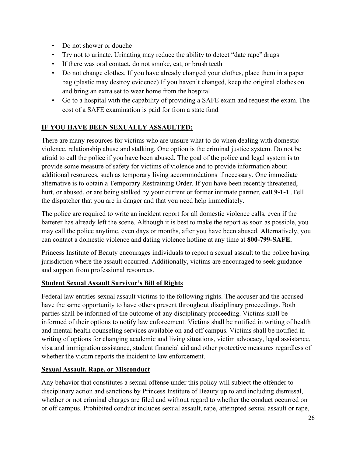- Do not shower or douche
- Try not to urinate. Urinating may reduce the ability to detect "date rape" drugs
- If there was oral contact, do not smoke, eat, or brush teeth
- Do not change clothes. If you have already changed your clothes, place them in a paper bag (plastic may destroy evidence) If you haven't changed, keep the original clothes on and bring an extra set to wear home from the hospital
- Go to a hospital with the capability of providing a SAFE exam and request the exam. The cost of a SAFE examination is paid for from a state fund

# **IF YOU HAVE BEEN SEXUALLY ASSAULTED:**

There are many resources for victims who are unsure what to do when dealing with domestic violence, relationship abuse and stalking. One option is the criminal justice system. Do not be afraid to call the police if you have been abused. The goal of the police and legal system is to provide some measure of safety for victims of violence and to provide information about additional resources, such as temporary living accommodations if necessary. One immediate alternative is to obtain a Temporary Restraining Order. If you have been recently threatened, hurt, or abused, or are being stalked by your current or former intimate partner, **call 9-1-1** .Tell the dispatcher that you are in danger and that you need help immediately.

The police are required to write an incident report for all domestic violence calls, even if the batterer has already left the scene. Although it is best to make the report as soon as possible, you may call the police anytime, even days or months, after you have been abused. Alternatively, you can contact a domestic violence and dating violence hotline at any time at **800-799-SAFE.**

Princess Institute of Beauty encourages individuals to report a sexual assault to the police having jurisdiction where the assault occurred. Additionally, victims are encouraged to seek guidance and support from professional resources.

# **Student Sexual Assault Survivor's Bill of Rights**

Federal law entitles sexual assault victims to the following rights. The accuser and the accused have the same opportunity to have others present throughout disciplinary proceedings. Both parties shall be informed of the outcome of any disciplinary proceeding. Victims shall be informed of their options to notify law enforcement. Victims shall be notified in writing of health and mental health counseling services available on and off campus. Victims shall be notified in writing of options for changing academic and living situations, victim advocacy, legal assistance, visa and immigration assistance, student financial aid and other protective measures regardless of whether the victim reports the incident to law enforcement.

# **Sexual Assault, Rape, or Misconduct**

Any behavior that constitutes a sexual offense under this policy will subject the offender to disciplinary action and sanctions by Princess Institute of Beauty up to and including dismissal, whether or not criminal charges are filed and without regard to whether the conduct occurred on or off campus. Prohibited conduct includes sexual assault, rape, attempted sexual assault or rape,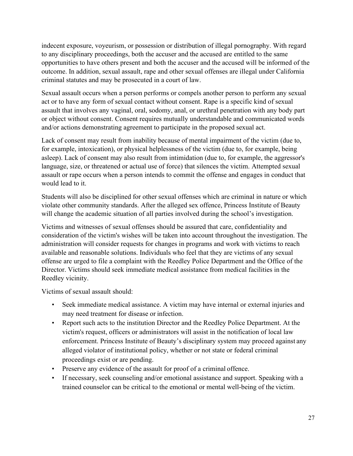indecent exposure, voyeurism, or possession or distribution of illegal pornography. With regard to any disciplinary proceedings, both the accuser and the accused are entitled to the same opportunities to have others present and both the accuser and the accused will be informed of the outcome. In addition, sexual assault, rape and other sexual offenses are illegal under California criminal statutes and may be prosecuted in a court of law.

Sexual assault occurs when a person performs or compels another person to perform any sexual act or to have any form of sexual contact without consent. Rape is a specific kind of sexual assault that involves any vaginal, oral, sodomy, anal, or urethral penetration with any body part or object without consent. Consent requires mutually understandable and communicated words and/or actions demonstrating agreement to participate in the proposed sexual act.

Lack of consent may result from inability because of mental impairment of the victim (due to, for example, intoxication), or physical helplessness of the victim (due to, for example, being asleep). Lack of consent may also result from intimidation (due to, for example, the aggressor's language, size, or threatened or actual use of force) that silences the victim. Attempted sexual assault or rape occurs when a person intends to commit the offense and engages in conduct that would lead to it.

Students will also be disciplined for other sexual offenses which are criminal in nature or which violate other community standards. After the alleged sex offence, Princess Institute of Beauty will change the academic situation of all parties involved during the school's investigation.

Victims and witnesses of sexual offenses should be assured that care, confidentiality and consideration of the victim's wishes will be taken into account throughout the investigation. The administration will consider requests for changes in programs and work with victims to reach available and reasonable solutions. Individuals who feel that they are victims of any sexual offense are urged to file a complaint with the Reedley Police Department and the Office of the Director. Victims should seek immediate medical assistance from medical facilities in the Reedley vicinity.

Victims of sexual assault should:

- Seek immediate medical assistance. A victim may have internal or external injuries and may need treatment for disease or infection.
- Report such acts to the institution Director and the Reedley Police Department. At the victim's request, officers or administrators will assist in the notification of local law enforcement. Princess Institute of Beauty's disciplinary system may proceed against any alleged violator of institutional policy, whether or not state or federal criminal proceedings exist or are pending.
- Preserve any evidence of the assault for proof of a criminal offence.
- If necessary, seek counseling and/or emotional assistance and support. Speaking with a trained counselor can be critical to the emotional or mental well-being of the victim.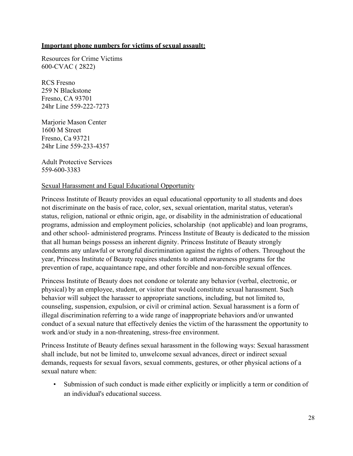#### **Important phone numbers for victims of sexual assault:**

Resources for Crime Victims 600-CVAC ( 2822)

RCS Fresno 259 N Blackstone Fresno, CA 93701 24hr Line 559-222-7273

Marjorie Mason Center 1600 M Street Fresno, Ca 93721 24hr Line 559-233-4357

Adult Protective Services 559-600-3383

### Sexual Harassment and Equal Educational Opportunity

Princess Institute of Beauty provides an equal educational opportunity to all students and does not discriminate on the basis of race, color, sex, sexual orientation, marital status, veteran's status, religion, national or ethnic origin, age, or disability in the administration of educational programs, admission and employment policies, scholarship (not applicable) and loan programs, and other school- administered programs. Princess Institute of Beauty is dedicated to the mission that all human beings possess an inherent dignity. Princess Institute of Beauty strongly condemns any unlawful or wrongful discrimination against the rights of others. Throughout the year, Princess Institute of Beauty requires students to attend awareness programs for the prevention of rape, acquaintance rape, and other forcible and non-forcible sexual offences.

Princess Institute of Beauty does not condone or tolerate any behavior (verbal, electronic, or physical) by an employee, student, or visitor that would constitute sexual harassment. Such behavior will subject the harasser to appropriate sanctions, including, but not limited to, counseling, suspension, expulsion, or civil or criminal action. Sexual harassment is a form of illegal discrimination referring to a wide range of inappropriate behaviors and/or unwanted conduct of a sexual nature that effectively denies the victim of the harassment the opportunity to work and/or study in a non-threatening, stress-free environment.

Princess Institute of Beauty defines sexual harassment in the following ways: Sexual harassment shall include, but not be limited to, unwelcome sexual advances, direct or indirect sexual demands, requests for sexual favors, sexual comments, gestures, or other physical actions of a sexual nature when:

• Submission of such conduct is made either explicitly or implicitly a term or condition of an individual's educational success.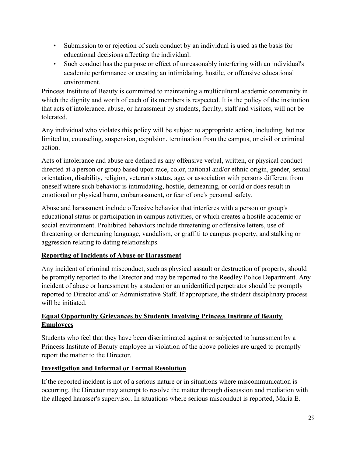- Submission to or rejection of such conduct by an individual is used as the basis for educational decisions affecting the individual.
- Such conduct has the purpose or effect of unreasonably interfering with an individual's academic performance or creating an intimidating, hostile, or offensive educational environment.

Princess Institute of Beauty is committed to maintaining a multicultural academic community in which the dignity and worth of each of its members is respected. It is the policy of the institution that acts of intolerance, abuse, or harassment by students, faculty, staff and visitors, will not be tolerated.

Any individual who violates this policy will be subject to appropriate action, including, but not limited to, counseling, suspension, expulsion, termination from the campus, or civil or criminal action.

Acts of intolerance and abuse are defined as any offensive verbal, written, or physical conduct directed at a person or group based upon race, color, national and/or ethnic origin, gender, sexual orientation, disability, religion, veteran's status, age, or association with persons different from oneself where such behavior is intimidating, hostile, demeaning, or could or does result in emotional or physical harm, embarrassment, or fear of one's personal safety.

Abuse and harassment include offensive behavior that interferes with a person or group's educational status or participation in campus activities, or which creates a hostile academic or social environment. Prohibited behaviors include threatening or offensive letters, use of threatening or demeaning language, vandalism, or graffiti to campus property, and stalking or aggression relating to dating relationships.

# **Reporting of Incidents of Abuse or Harassment**

Any incident of criminal misconduct, such as physical assault or destruction of property, should be promptly reported to the Director and may be reported to the Reedley Police Department. Any incident of abuse or harassment by a student or an unidentified perpetrator should be promptly reported to Director and/ or Administrative Staff. If appropriate, the student disciplinary process will be initiated.

# **Equal Opportunity Grievances by Students Involving Princess Institute of Beauty Employees**

Students who feel that they have been discriminated against or subjected to harassment by a Princess Institute of Beauty employee in violation of the above policies are urged to promptly report the matter to the Director.

# **Investigation and Informal or Formal Resolution**

If the reported incident is not of a serious nature or in situations where miscommunication is occurring, the Director may attempt to resolve the matter through discussion and mediation with the alleged harasser's supervisor. In situations where serious misconduct is reported, Maria E.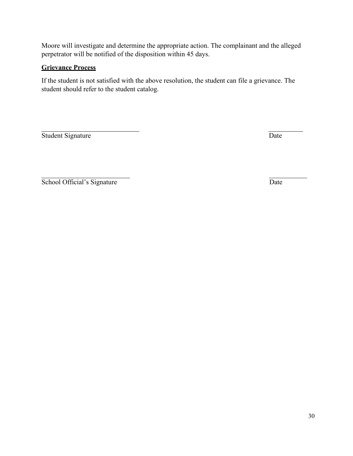Moore will investigate and determine the appropriate action. The complainant and the alleged perpetrator will be notified of the disposition within 45 days.

# **Grievance Process**

If the student is not satisfied with the above resolution, the student can file a grievance. The student should refer to the student catalog.

Student Signature Date

School Official's Signature Date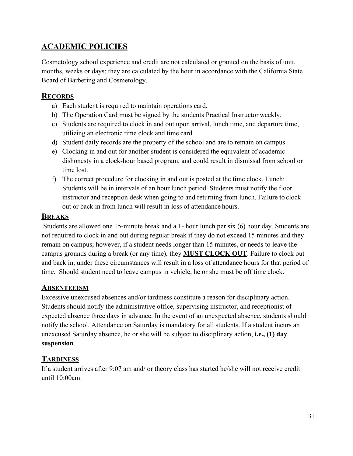# <span id="page-30-0"></span>**ACADEMIC POLICIES**

Cosmetology school experience and credit are not calculated or granted on the basis of unit, months, weeks or days; they are calculated by the hour in accordance with the California State Board of Barbering and Cosmetology.

# **RECORDS**

- a) Each student is required to maintain operations card.
- b) The Operation Card must be signed by the students Practical Instructor weekly.
- c) Students are required to clock in and out upon arrival, lunch time, and departure time, utilizing an electronic time clock and time card.
- d) Student daily records are the property of the school and are to remain on campus.
- e) Clocking in and out for another student is considered the equivalent of academic dishonesty in a clock-hour based program, and could result in dismissal from school or time lost.
- f) The correct procedure for clocking in and out is posted at the time clock. Lunch: Students will be in intervals of an hour lunch period. Students must notify the floor instructor and reception desk when going to and returning from lunch. Failure to clock out or back in from lunch will result in loss of attendance hours.

# **BREAKS**

Students are allowed one 15-minute break and a 1- hour lunch per six (6) hour day. Students are not required to clock in and out during regular break if they do not exceed 15 minutes and they remain on campus; however, if a student needs longer than 15 minutes, or needs to leave the campus grounds during a break (or any time), they **MUST CLOCK OUT**. Failure to clock out and back in, under these circumstances will result in a loss of attendance hours for that period of time. Should student need to leave campus in vehicle, he or she must be off time clock.

# **ABSENTEEISM**

Excessive unexcused absences and/or tardiness constitute a reason for disciplinary action. Students should notify the administrative office, supervising instructor, and receptionist of expected absence three days in advance. In the event of an unexpected absence, students should notify the school. Attendance on Saturday is mandatory for all students. If a student incurs an unexcused Saturday absence, he or she will be subject to disciplinary action, **i.e., (1) day suspension**.

# **TARDINESS**

If a student arrives after 9:07 am and/ or theory class has started he/she will not receive credit until 10:00am.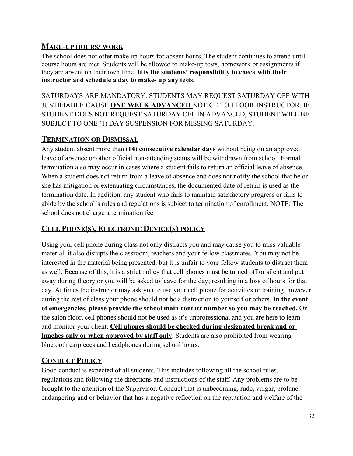# **MAKE-UP HOURS/ WORK**

The school does not offer make up hours for absent hours. The student continues to attend until course hours are met. Students will be allowed to make-up tests, homework or assignments if they are absent on their own time. **It is the students' responsibility to check with their instructor and schedule a day to make- up any tests.**

SATURDAYS ARE MANDATORY. STUDENTS MAY REQUEST SATURDAY OFF WITH JUSTIFIABLE CAUSE **ONE WEEK ADVANCED** NOTICE TO FLOOR INSTRUCTOR. IF STUDENT DOES NOT REQUEST SATURDAY OFF IN ADVANCED, STUDENT WILL BE SUBJECT TO ONE (1) DAY SUSPENSION FOR MISSING SATURDAY.

# **TERMINATION OR DISMISSAL**

Any student absent more than (**14) consecutive calendar days** without being on an approved leave of absence or other official non-attending status will be withdrawn from school. Formal termination also may occur in cases where a student fails to return an official leave of absence. When a student does not return from a leave of absence and does not notify the school that he or she has mitigation or extenuating circumstances, the documented date of return is used as the termination date. In addition, any student who fails to maintain satisfactory progress or fails to abide by the school's rules and regulations is subject to termination of enrollment. NOTE: The school does not charge a termination fee.

# **CELL PHONE(S), ELECTRONIC DEVICE(S) POLICY**

Using your cell phone during class not only distracts you and may cause you to miss valuable material, it also disrupts the classroom, teachers and your fellow classmates. You may not be interested in the material being presented, but it is unfair to your fellow students to distract them as well. Because of this, it is a strict policy that cell phones must be turned off or silent and put away during theory or you will be asked to leave for the day; resulting in a loss of hours for that day. At times the instructor may ask you to use your cell phone for activities or training, however during the rest of class your phone should not be a distraction to yourself or others. **In the event of emergencies, please provide the school main contact number so you may be reached.** On the salon floor, cell phones should not be used as it's unprofessional and you are here to learn and monitor your client. **Cell phones should be checked during designated break and or lunches only or when approved by staff only**. Students are also prohibited from wearing bluetooth earpieces and headphones during school hours.

# **CONDUCT POLICY**

Good conduct is expected of all students. This includes following all the school rules, regulations and following the directions and instructions of the staff. Any problems are to be brought to the attention of the Supervisor. Conduct that is unbecoming, rude, vulgar, profane, endangering and or behavior that has a negative reflection on the reputation and welfare of the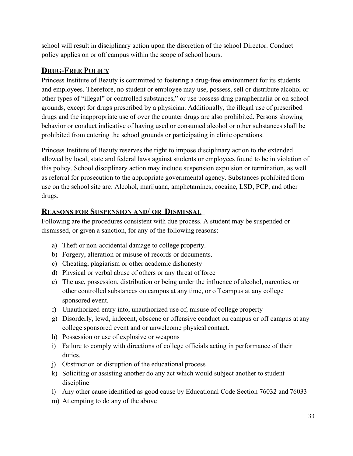school will result in disciplinary action upon the discretion of the school Director. Conduct policy applies on or off campus within the scope of school hours.

# **DRUG-FREE POLICY**

Princess Institute of Beauty is committed to fostering a drug-free environment for its students and employees. Therefore, no student or employee may use, possess, sell or distribute alcohol or other types of "illegal" or controlled substances," or use possess drug paraphernalia or on school grounds, except for drugs prescribed by a physician. Additionally, the illegal use of prescribed drugs and the inappropriate use of over the counter drugs are also prohibited. Persons showing behavior or conduct indicative of having used or consumed alcohol or other substances shall be prohibited from entering the school grounds or participating in clinic operations.

Princess Institute of Beauty reserves the right to impose disciplinary action to the extended allowed by local, state and federal laws against students or employees found to be in violation of this policy. School disciplinary action may include suspension expulsion or termination, as well as referral for prosecution to the appropriate governmental agency. Substances prohibited from use on the school site are: Alcohol, marijuana, amphetamines, cocaine, LSD, PCP, and other drugs.

# **REASONS FOR SUSPENSION AND/ OR DISMISSAL**

Following are the procedures consistent with due process. A student may be suspended or dismissed, or given a sanction, for any of the following reasons:

- a) Theft or non-accidental damage to college property.
- b) Forgery, alteration or misuse of records or documents.
- c) Cheating, plagiarism or other academic dishonesty
- d) Physical or verbal abuse of others or any threat of force
- e) The use, possession, distribution or being under the influence of alcohol, narcotics, or other controlled substances on campus at any time, or off campus at any college sponsored event.
- f) Unauthorized entry into, unauthorized use of, misuse of college property
- g) Disorderly, lewd, indecent, obscene or offensive conduct on campus or off campus at any college sponsored event and or unwelcome physical contact.
- h) Possession or use of explosive or weapons
- i) Failure to comply with directions of college officials acting in performance of their duties.
- j) Obstruction or disruption of the educational process
- k) Soliciting or assisting another do any act which would subject another to student discipline
- l) Any other cause identified as good cause by Educational Code Section 76032 and 76033
- m) Attempting to do any of the above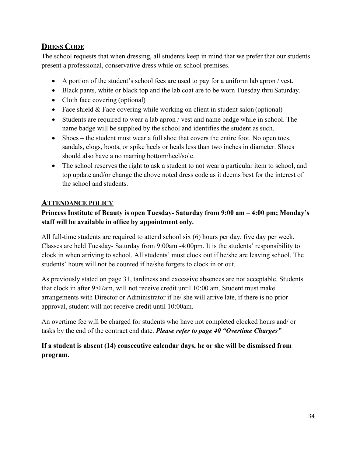# **DRESS CODE**

The school requests that when dressing, all students keep in mind that we prefer that our students present a professional, conservative dress while on school premises.

- A portion of the student's school fees are used to pay for a uniform lab apron / vest.
- Black pants, white or black top and the lab coat are to be worn Tuesday thru Saturday.
- Cloth face covering (optional)
- Face shield & Face covering while working on client in student salon (optional)
- Students are required to wear a lab apron / vest and name badge while in school. The name badge will be supplied by the school and identifies the student as such.
- Shoes the student must wear a full shoe that covers the entire foot. No open toes, sandals, clogs, boots, or spike heels or heals less than two inches in diameter. Shoes should also have a no marring bottom/heel/sole.
- The school reserves the right to ask a student to not wear a particular item to school, and top update and/or change the above noted dress code as it deems best for the interest of the school and students.

# **ATTENDANCE POLICY**

# **Princess Institute of Beauty is open Tuesday- Saturday from 9:00 am – 4:00 pm; Monday's staff will be available in office by appointment only.**

All full-time students are required to attend school six (6) hours per day, five day per week. Classes are held Tuesday- Saturday from 9:00am -4:00pm. It is the students' responsibility to clock in when arriving to school. All students' must clock out if he/she are leaving school. The students' hours will not be counted if he/she forgets to clock in or out.

As previously stated on page 31, tardiness and excessive absences are not acceptable. Students that clock in after 9:07am, will not receive credit until 10:00 am. Student must make arrangements with Director or Administrator if he/ she will arrive late, if there is no prior approval, student will not receive credit until 10:00am.

An overtime fee will be charged for students who have not completed clocked hours and/ or tasks by the end of the contract end date. *Please refer to page 40 "Overtime Charges"* 

**If a student is absent (14) consecutive calendar days, he or she will be dismissed from program.**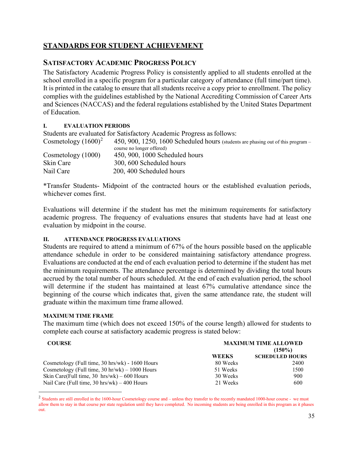# **STANDARDS FOR STUDENT ACHIEVEMENT**

# **SATISFACTORY ACADEMIC PROGRESS POLICY**

The Satisfactory Academic Progress Policy is consistently applied to all students enrolled at the school enrolled in a specific program for a particular category of attendance (full time/part time). It is printed in the catalog to ensure that all students receive a copy prior to enrollment. The policy complies with the guidelines established by the National Accrediting Commission of Career Arts and Sciences (NACCAS) and the federal regulations established by the United States Department of Education.

### **I. EVALUATION PERIODS**

Students are evaluated for Satisfactory Academic Progress asfollows:

Cosmetology  $(1600)^2$  $(1600)^2$  450, 900, 1250, 1600 Scheduled hours (students are phasing out of this program – course no longer offered) Cosmetology (1000) 450, 900, 1000 Scheduled hours Skin Care 300, 600 Scheduled hours Nail Care 200, 400 Scheduled hours

\*Transfer Students- Midpoint of the contracted hours or the established evaluation periods, whichever comes first.

Evaluations will determine if the student has met the minimum requirements for satisfactory academic progress. The frequency of evaluations ensures that students have had at least one evaluation by midpoint in the course.

#### **II. ATTENDANCE PROGRESS EVALUATIONS**

Students are required to attend a minimum of 67% of the hours possible based on the applicable attendance schedule in order to be considered maintaining satisfactory attendance progress. Evaluations are conducted at the end of each evaluation period to determine if the student has met the minimum requirements. The attendance percentage is determined by dividing the total hours accrued by the total number of hours scheduled. At the end of each evaluation period, the school will determine if the student has maintained at least 67% cumulative attendance since the beginning of the course which indicates that, given the same attendance rate, the student will graduate within the maximum time frame allowed.

#### **MAXIMUM TIME FRAME**

The maximum time (which does not exceed 150% of the course length) allowed for students to complete each course at satisfactory academic progress is stated below:

| <b>MAXIMUM TIME ALLOWED</b><br><b>COURSE</b>                         |              |                        |
|----------------------------------------------------------------------|--------------|------------------------|
|                                                                      |              | $(150\%)$              |
|                                                                      | <b>WEEKS</b> | <b>SCHEDULED HOURS</b> |
| Cosmetology (Full time, $30 \text{ hrs/wk}$ ) - $1600 \text{ Hours}$ | 80 Weeks     | 2400                   |
| Cosmetology (Full time, $30 \text{ hr/wk}$ ) – $1000 \text{ Hours}$  | 51 Weeks     | 1500                   |
| Skin Care(Full time, 30 $hrs/wk$ ) – 600 Hours                       | 30 Weeks     | 900                    |
| Nail Care (Full time, $30 \text{ hrs/wk}$ ) – $400 \text{ Hours}$    | 21 Weeks     | 600                    |

<span id="page-34-0"></span><sup>&</sup>lt;sup>2</sup> Students are still enrolled in the 1600-hour Cosmetology course and – unless they transfer to the recently mandated 1000-hour course - we must allow them to stay in that course per state regulation until they have completed. No incoming students are being enrolled in this program as it phases out.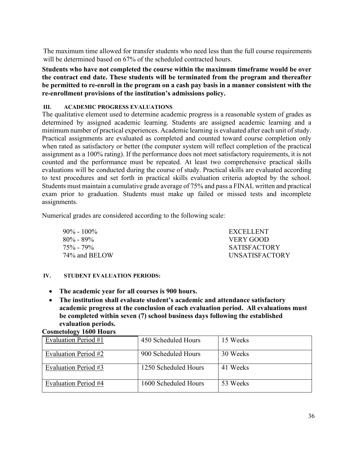The maximum time allowed for transfer students who need less than the full course requirements will be determined based on 67% of the scheduled contracted hours.

**Students who have not completed the course within the maximum timeframe would be over the contract end date. These students will be terminated from the program and thereafter be permitted to re-enroll in the program on a cash pay basis in a manner consistent with the re-enrollment provisions of the institution's admissions policy.** 

#### **III. ACADEMIC PROGRESS EVALUATIONS**

The qualitative element used to determine academic progress is a reasonable system of grades as determined by assigned academic learning. Students are assigned academic learning and a minimum number of practical experiences. Academic learning is evaluated after each unit of study. Practical assignments are evaluated as completed and counted toward course completion only when rated as satisfactory or better (the computer system will reflect completion of the practical assignment as a 100% rating). If the performance does not meet satisfactory requirements, it is not counted and the performance must be repeated. At least two comprehensive practical skills evaluations will be conducted during the course of study. Practical skills are evaluated according to text procedures and set forth in practical skills evaluation criteria adopted by the school. Students must maintain a cumulative grade average of 75% and pass a FINAL written and practical exam prior to graduation. Students must make up failed or missed tests and incomplete assignments.

Numerical grades are considered according to the following scale:

| $90\% - 100\%$  | EXCELLENT             |
|-----------------|-----------------------|
| $80\%$ - $89\%$ | VERY GOOD             |
| $75\%$ - $79\%$ | <b>SATISFACTORY</b>   |
| 74\% and BELOW  | <b>UNSATISFACTORY</b> |

#### **IV. STUDENT EVALUATION PERIODS:**

- **The academic year for all courses is 900 hours.**
- **The institution shall evaluate student's academic and attendance satisfactory academic progress at the conclusion of each evaluation period. All evaluations must be completed within seven (7) school business days following the established evaluation periods. Cosmetology 1600 Hours**

| Company Toon Hours   |                      |          |
|----------------------|----------------------|----------|
| Evaluation Period #1 | 450 Scheduled Hours  | 15 Weeks |
| Evaluation Period #2 | 900 Scheduled Hours  | 30 Weeks |
| Evaluation Period #3 | 1250 Scheduled Hours | 41 Weeks |
| Evaluation Period #4 | 1600 Scheduled Hours | 53 Weeks |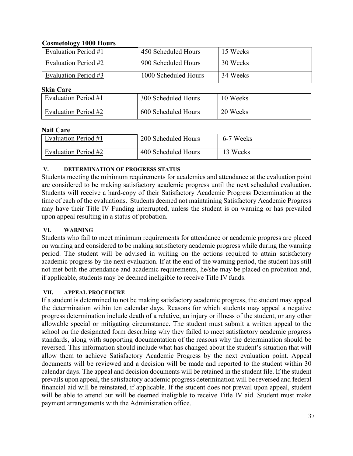### **Cosmetology 1000 Hours**

| $\sim$               |                      |          |
|----------------------|----------------------|----------|
| Evaluation Period #1 | 450 Scheduled Hours  | 15 Weeks |
| Evaluation Period #2 | 900 Scheduled Hours  | 30 Weeks |
| Evaluation Period #3 | 1000 Scheduled Hours | 34 Weeks |
| <b>Skin Care</b>     |                      |          |
| Evaluation Period #1 | 300 Scheduled Hours  | 10 Weeks |
| Evaluation Period #2 | 600 Scheduled Hours  | 20 Weeks |

### **Nail Care**

| Evaluation Period #1 | 200 Scheduled Hours | 6-7 Weeks |
|----------------------|---------------------|-----------|
| Evaluation Period #2 | 400 Scheduled Hours | 13 Weeks  |

### **V. DETERMINATION OF PROGRESS STATUS**

Students meeting the minimum requirements for academics and attendance at the evaluation point are considered to be making satisfactory academic progress until the next scheduled evaluation. Students will receive a hard-copy of their Satisfactory Academic Progress Determination at the time of each of the evaluations. Students deemed not maintaining Satisfactory Academic Progress may have their Title IV Funding interrupted, unless the student is on warning or has prevailed upon appeal resulting in a status of probation.

#### **VI. WARNING**

Students who fail to meet minimum requirements for attendance or academic progress are placed on warning and considered to be making satisfactory academic progress while during the warning period. The student will be advised in writing on the actions required to attain satisfactory academic progress by the next evaluation. If at the end of the warning period, the student has still not met both the attendance and academic requirements, he/she may be placed on probation and, if applicable, students may be deemed ineligible to receive Title IV funds.

#### **VII. APPEAL PROCEDURE**

If a student is determined to not be making satisfactory academic progress, the student may appeal the determination within ten calendar days. Reasons for which students may appeal a negative progress determination include death of a relative, an injury or illness of the student, or any other allowable special or mitigating circumstance. The student must submit a written appeal to the school on the designated form describing why they failed to meet satisfactory academic progress standards, along with supporting documentation of the reasons why the determination should be reversed. This information should include what has changed about the student's situation that will allow them to achieve Satisfactory Academic Progress by the next evaluation point. Appeal documents will be reviewed and a decision will be made and reported to the student within 30 calendar days. The appeal and decision documents will be retained in the student file. If the student prevails upon appeal, the satisfactory academic progress determination will be reversed and federal financial aid will be reinstated, if applicable. If the student does not prevail upon appeal, student will be able to attend but will be deemed ineligible to receive Title IV aid. Student must make payment arrangements with the Administration office.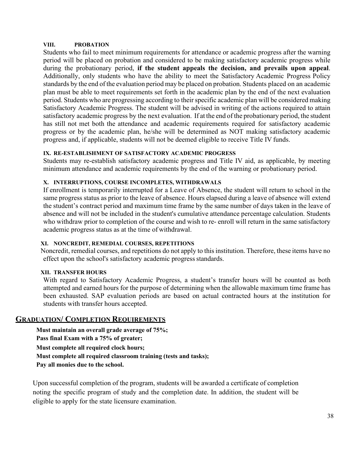#### **VIII. PROBATION**

Students who fail to meet minimum requirements for attendance or academic progress after the warning period will be placed on probation and considered to be making satisfactory academic progress while during the probationary period, **if the student appeals the decision, and prevails upon appeal**. Additionally, only students who have the ability to meet the Satisfactory Academic Progress Policy standards by the end of the evaluation period may be placed on probation. Students placed on an academic plan must be able to meet requirements set forth in the academic plan by the end of the next evaluation period. Students who are progressing according to their specific academic plan will be considered making Satisfactory Academic Progress. The student will be advised in writing of the actions required to attain satisfactory academic progress by the next evaluation. If at the end of the probationary period, the student has still not met both the attendance and academic requirements required for satisfactory academic progress or by the academic plan, he/she will be determined as NOT making satisfactory academic progress and, if applicable, students will not be deemed eligible to receive Title IV funds.

#### **IX. RE-ESTABLISHMENT OF SATISFACTORY ACADEMIC PROGRESS**

Students may re-establish satisfactory academic progress and Title IV aid, as applicable, by meeting minimum attendance and academic requirements by the end of the warning or probationary period.

#### **X. INTERRUPTIONS, COURSE INCOMPLETES, WITHDRAWALS**

If enrollment is temporarily interrupted for a Leave of Absence, the student will return to school in the same progress status as prior to the leave of absence. Hours elapsed during a leave of absence will extend the student's contract period and maximum time frame by the same number of days taken in the leave of absence and will not be included in the student's cumulative attendance percentage calculation. Students who withdraw prior to completion of the course and wish to re- enroll will return in the same satisfactory academic progress status as at the time of withdrawal.

#### **XI. NONCREDIT, REMEDIAL COURSES, REPETITIONS**

Noncredit, remedial courses, and repetitions do not apply to thisinstitution. Therefore, these items have no effect upon the school's satisfactory academic progress standards.

#### **XII. TRANSFER HOURS**

With regard to Satisfactory Academic Progress, a student's transfer hours will be counted as both attempted and earned hours for the purpose of determining when the allowable maximum time frame has been exhausted. SAP evaluation periods are based on actual contracted hours at the institution for students with transfer hours accepted.

# **GRADUATION/ COMPLETION REQUIREMENTS**

**Must maintain an overall grade average of 75%; Pass final Exam with a 75% of greater; Must complete all required clock hours; Must complete all required classroom training (tests and tasks); Pay all monies due to the school.** 

Upon successful completion of the program, students will be awarded a certificate of completion noting the specific program of study and the completion date. In addition, the student will be eligible to apply for the state licensure examination.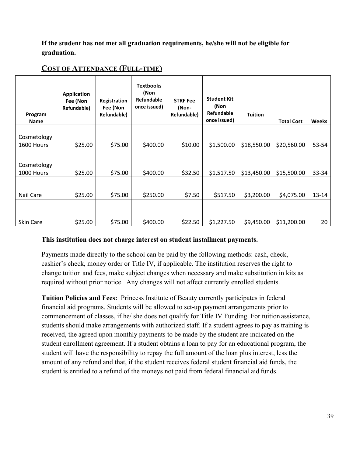**If the student has not met all graduation requirements, he/she will not be eligible for graduation.** 

| Program<br><b>Name</b>    | <b>Application</b><br>Fee (Non<br>Refundable) | Registration<br>Fee (Non<br>Refundable) | <b>Textbooks</b><br>(Non<br><b>Refundable</b><br>once issued) | <b>STRF Fee</b><br>(Non-<br>Refundable) | <b>Student Kit</b><br>(Non<br>Refundable<br>once issued) | <b>Tuition</b> | <b>Total Cost</b> | <b>Weeks</b> |
|---------------------------|-----------------------------------------------|-----------------------------------------|---------------------------------------------------------------|-----------------------------------------|----------------------------------------------------------|----------------|-------------------|--------------|
|                           |                                               |                                         |                                                               |                                         |                                                          |                |                   |              |
| Cosmetology               |                                               |                                         |                                                               |                                         |                                                          |                |                   |              |
| 1600 Hours                | \$25.00                                       | \$75.00                                 | \$400.00                                                      | \$10.00                                 | \$1,500.00                                               | \$18,550.00    | \$20,560.00       | 53-54        |
| Cosmetology<br>1000 Hours | \$25.00                                       | \$75.00                                 | \$400.00                                                      | \$32.50                                 | \$1,517.50                                               | \$13,450.00    | \$15,500.00       | 33-34        |
|                           |                                               |                                         |                                                               |                                         |                                                          |                |                   |              |
| Nail Care                 | \$25.00                                       | \$75.00                                 | \$250.00                                                      | \$7.50                                  | \$517.50                                                 | \$3,200.00     | \$4,075.00        | $13 - 14$    |
| Skin Care                 | \$25.00                                       | \$75.00                                 | \$400.00                                                      | \$22.50                                 | \$1,227.50                                               | \$9,450.00     | \$11,200.00       | 20           |

# **COST OF ATTENDANCE (FULL-TIME)**

# **This institution does not charge interest on student installment payments.**

Payments made directly to the school can be paid by the following methods: cash, check, cashier's check, money order or Title IV, if applicable. The institution reserves the right to change tuition and fees, make subject changes when necessary and make substitution in kits as required without prior notice. Any changes will not affect currently enrolled students.

**Tuition Policies and Fees:** Princess Institute of Beauty currently participates in federal financial aid programs. Students will be allowed to set-up payment arrangements prior to commencement of classes, if he/ she does not qualify for Title IV Funding. For tuition assistance, students should make arrangements with authorized staff. If a student agrees to pay as training is received, the agreed upon monthly payments to be made by the student are indicated on the student enrollment agreement. If a student obtains a loan to pay for an educational program, the student will have the responsibility to repay the full amount of the loan plus interest, less the amount of any refund and that, if the student receives federal student financial aid funds, the student is entitled to a refund of the moneys not paid from federal financial aid funds.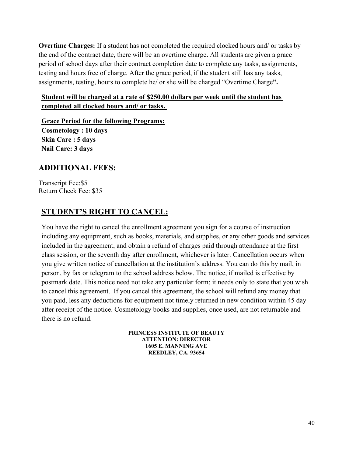**Overtime Charges:** If a student has not completed the required clocked hours and/ or tasks by the end of the contract date, there will be an overtime charge**.** All students are given a grace period of school days after their contract completion date to complete any tasks, assignments, testing and hours free of charge. After the grace period, if the student still has any tasks, assignments, testing, hours to complete he/ or she will be charged "Overtime Charge**".** 

# **Student will be charged at a rate of \$250.00 dollars per week until the student has completed all clocked hours and/ or tasks.**

**Grace Period for the following Programs: Cosmetology : 10 days Skin Care : 5 days Nail Care: 3 days** 

# **ADDITIONAL FEES:**

Transcript Fee:\$5 Return Check Fee: \$35

# **STUDENT'S RIGHT TO CANCEL:**

You have the right to cancel the enrollment agreement you sign for a course of instruction including any equipment, such as books, materials, and supplies, or any other goods and services included in the agreement, and obtain a refund of charges paid through attendance at the first class session, or the seventh day after enrollment, whichever is later. Cancellation occurs when you give written notice of cancellation at the institution's address. You can do this by mail, in person, by fax or telegram to the school address below. The notice, if mailed is effective by postmark date. This notice need not take any particular form; it needs only to state that you wish to cancel this agreement. If you cancel this agreement, the school will refund any money that you paid, less any deductions for equipment not timely returned in new condition within 45 day after receipt of the notice. Cosmetology books and supplies, once used, are not returnable and there is no refund.

> **PRINCESS INSTITUTE OF BEAUTY ATTENTION: DIRECTOR 1605 E. MANNING AVE REEDLEY, CA. 93654**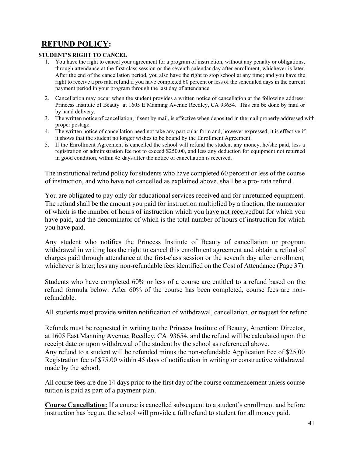# **REFUND POLICY:**

#### **STUDENT'S RIGHT TO CANCEL**

- 1. You have the right to cancel your agreement for a program of instruction, without any penalty or obligations, through attendance at the first class session or the seventh calendar day after enrollment, whichever is later. After the end of the cancellation period, you also have the right to stop school at any time; and you have the right to receive a pro rata refund if you have completed 60 percent or less of the scheduled days in the current payment period in your program through the last day of attendance.
- 2. Cancellation may occur when the student provides a written notice of cancellation at the following address: Princess Institute of Beauty at 1605 E Manning Avenue Reedley, CA 93654. This can be done by mail or by hand delivery.
- 3. The written notice of cancellation, if sent by mail, is effective when deposited in the mail properly addressed with proper postage.
- 4. The written notice of cancellation need not take any particular form and, however expressed, it is effective if it shows that the student no longer wishes to be bound by the Enrollment Agreement.
- 5. If the Enrollment Agreement is cancelled the school will refund the student any money, he/she paid, less a registration or administration fee not to exceed \$250.00, and less any deduction for equipment not returned in good condition, within 45 days after the notice of cancellation is received.

The institutional refund policy for students who have completed 60 percent or less of the course of instruction, and who have not cancelled as explained above, shall be a pro- rata refund.

You are obligated to pay only for educational services received and for unreturned equipment. The refund shall be the amount you paid for instruction multiplied by a fraction, the numerator of which is the number of hours of instruction which you have not received but for which you have paid, and the denominator of which is the total number of hours of instruction for which you have paid.

Any student who notifies the Princess Institute of Beauty of cancellation or program withdrawal in writing has the right to cancel this enrollment agreement and obtain a refund of charges paid through attendance at the first-class session or the seventh day after enrollment*,*  whichever is later; less any non-refundable fees identified on the Cost of Attendance (Page 37).

Students who have completed 60% or less of a course are entitled to a refund based on the refund formula below. After 60% of the course has been completed, course fees are nonrefundable.

All students must provide written notification of withdrawal, cancellation, or request for refund.

Refunds must be requested in writing to the Princess Institute of Beauty, Attention: Director, at 1605 East Manning Avenue, Reedley, CA 93654, and the refund will be calculated upon the receipt date or upon withdrawal of the student by the school as referenced above.

Any refund to a student will be refunded minus the non-refundable Application Fee of \$25.00 Registration fee of \$75.00 within 45 days of notification in writing or constructive withdrawal made by the school.

All course fees are due 14 days prior to the first day of the course commencement unless course tuition is paid as part of a payment plan.

**Course Cancellation:** If a course is cancelled subsequent to a student's enrollment and before instruction has begun, the school will provide a full refund to student for all money paid.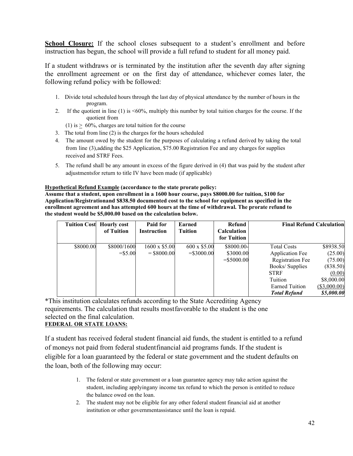**School Closure:** If the school closes subsequent to a student's enrollment and before instruction has begun, the school will provide a full refund to student for all money paid.

If a student withdraws or is terminated by the institution after the seventh day after signing the enrollment agreement or on the first day of attendance, whichever comes later, the following refund policy with be followed:

- 1. Divide total scheduled hours through the last day of physical attendance by the number of hours in the program.
- 2. If the quotient in line (1) is <60%, multiply this number by total tuition charges for the course. If the quotient from
	- (1) is  $> 60\%$ , charges are total tuition for the course
- 3. The total from line (2) is the charges for the hours scheduled
- 4. The amount owed by the student for the purposes of calculating a refund derived by taking the total from line (3),adding the \$25 Application, \$75.00 Registration Fee and any charges for supplies received and STRF Fees.
- 5. The refund shall be any amount in excess of the figure derived in (4) that was paid by the student after adjustmentsfor return to title IV have been made (if applicable)

#### **Hypothetical Refund Example (accordance to the state prorate policy:**

**Assume that a student, upon enrollment in a 1600 hour course, pays \$8000.00 for tuition, \$100 for Application/Registrationand \$838.50 documented cost to the school for equipment as specified in the enrollment agreement and has attempted 600 hours at the time of withdrawal. The prorate refund to the student would be \$5,000.00 based on the calculation below.**

| <b>Tuition Cost</b> | <b>Hourly cost</b> | Paid for           | Earned        | Refund                            | <b>Final Refund Calculation</b> |                |
|---------------------|--------------------|--------------------|---------------|-----------------------------------|---------------------------------|----------------|
|                     | of Tuition         | <b>Instruction</b> | Tuition       | <b>Calculation</b><br>for Tuition |                                 |                |
| \$8000.00           | \$8000/1600        | 1600 x \$5.00      | 600 x \$5.00  | \$8000.00-                        | <b>Total Costs</b>              | \$8938.50      |
|                     | $=$ \$5.00         | $=$ \$8000.00      | $=$ \$3000.00 | \$3000.00                         | <b>Application Fee</b>          | (25.00)        |
|                     |                    |                    |               | $=$ \$5000.00                     | <b>Registration Fee</b>         | (75.00)        |
|                     |                    |                    |               |                                   | Books/Supplies                  | (838.50)       |
|                     |                    |                    |               |                                   | <b>STRF</b>                     | (0.00)         |
|                     |                    |                    |               |                                   | Tuition                         | \$8,000.00     |
|                     |                    |                    |               |                                   | <b>Earned Tuition</b>           | $(\$3,000.00)$ |
|                     |                    |                    |               |                                   | <b>Total Refund</b>             | \$5,000.00     |

\*This institution calculates refunds according to the State Accrediting Agency requirements. The calculation that results mostfavorable to the student is the one selected on the final calculation.

#### **FEDERAL OR STATE LOANS:**

If a student has received federal student financial aid funds, the student is entitled to a refund of moneys not paid from federal student financial aid programs funds. If the student is eligible for a loan guaranteed by the federal or state government and the student defaults on the loan, both of the following may occur:

- 1. The federal or state government or a loan guarantee agency may take action against the student, including applyingany income tax refund to which the person is entitled to reduce the balance owed on the loan.
- 2. The student may not be eligible for any other federal student financial aid at another institution or other governmentassistance until the loan is repaid.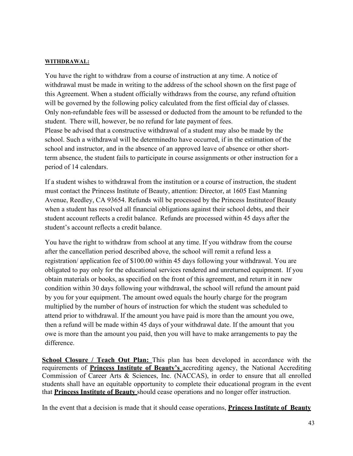#### **WITHDRAWAL:**

You have the right to withdraw from a course of instruction at any time. A notice of withdrawal must be made in writing to the address of the school shown on the first page of this Agreement. When a student officially withdraws from the course, any refund of tuition will be governed by the following policy calculated from the first official day of classes. Only non-refundable fees will be assessed or deducted from the amount to be refunded to the student. There will, however, be no refund for late payment of fees. Please be advised that a constructive withdrawal of a student may also be made by the school. Such a withdrawal will be determinedto have occurred, if in the estimation of the school and instructor, and in the absence of an approved leave of absence or other shortterm absence, the student fails to participate in course assignments or other instruction for a period of 14 calendars.

If a student wishes to withdrawal from the institution or a course of instruction, the student must contact the Princess Institute of Beauty, attention: Director, at 1605 East Manning Avenue, Reedley, CA 93654. Refunds will be processed by the Princess Institute of Beauty when a student has resolved all financial obligations against their school debts, and their student account reflects a credit balance. Refunds are processed within 45 days after the student's account reflects a credit balance.

You have the right to withdraw from school at any time. If you withdraw from the course after the cancellation period described above, the school will remit a refund less a registration/ application fee of \$100.00 within 45 days following your withdrawal. You are obligated to pay only for the educational services rendered and unreturned equipment. If you obtain materials or books, as specified on the front of this agreement, and return it in new condition within 30 days following your withdrawal, the school will refund the amount paid by you for your equipment. The amount owed equals the hourly charge for the program multiplied by the number of hours of instruction for which the student was scheduled to attend prior to withdrawal. If the amount you have paid is more than the amount you owe, then a refund will be made within 45 days of your withdrawal date. If the amount that you owe is more than the amount you paid, then you will have to make arrangements to pay the difference.

**School Closure / Teach Out Plan:** This plan has been developed in accordance with the requirements of **Princess Institute of Beauty's** accrediting agency, the National Accrediting Commission of Career Arts & Sciences, Inc. (NACCAS), in order to ensure that all enrolled students shall have an equitable opportunity to complete their educational program in the event that **Princess Institute of Beauty** should cease operations and no longer offer instruction.

In the event that a decision is made that it should cease operations, **Princess Institute of Beauty**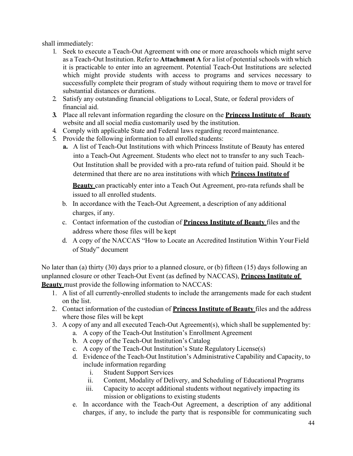shall immediately:

- 1. Seek to execute a Teach-Out Agreement with one or more area schools which might serve as a Teach-Out Institution. Refer to **Attachment A** for a list of potential schools with which it is practicable to enter into an agreement. Potential Teach-Out Institutions are selected which might provide students with access to programs and services necessary to successfully complete their program of study without requiring them to move or travel for substantial distances or durations.
- 2. Satisfy any outstanding financial obligations to Local, State, or federal providers of financial aid.
- **3.** Place all relevant information regarding the closure on the **Princess Institute of Beauty** website and all social media customarily used by the institution.
- 4. Comply with applicable State and Federal laws regarding record maintenance.
- 5. Provide the following information to all enrolled students:
	- **a.** A list of Teach-Out Institutions with which Princess Institute of Beauty has entered into a Teach-Out Agreement. Students who elect not to transfer to any such Teach-Out Institution shall be provided with a pro-rata refund of tuition paid. Should it be determined that there are no area institutions with which **Princess Institute of**

**Beauty** can practicably enter into a Teach Out Agreement, pro-rata refunds shall be issued to all enrolled students.

- b. In accordance with the Teach-Out Agreement, a description of any additional charges, if any.
- c. Contact information of the custodian of **Princess Institute of Beauty** files and the address where those files will be kept
- d. A copy of the NACCAS "How to Locate an Accredited Institution Within Your Field of Study" document

No later than (a) thirty (30) days prior to a planned closure, or (b) fifteen (15) days following an unplanned closure or other Teach-Out Event (as defined by NACCAS), **Princess Institute of Beauty** must provide the following information to NACCAS:

- 1. A list of all currently-enrolled students to include the arrangements made for each student on the list.
- 2. Contact information of the custodian of **Princess Institute of Beauty** files and the address where those files will be kept
- 3. A copy of any and all executed Teach-Out Agreement(s), which shall be supplemented by:
	- a. A copy of the Teach-Out Institution's Enrollment Agreement
	- b. A copy of the Teach-Out Institution's Catalog
	- c. A copy of the Teach-Out Institution's State Regulatory License(s)
	- d. Evidence of the Teach-Out Institution's Administrative Capability and Capacity, to include information regarding
		- i. Student Support Services
		- ii. Content, Modality of Delivery, and Scheduling of Educational Programs
		- iii. Capacity to accept additional students without negatively impacting its mission or obligations to existing students
	- e. In accordance with the Teach-Out Agreement, a description of any additional charges, if any, to include the party that is responsible for communicating such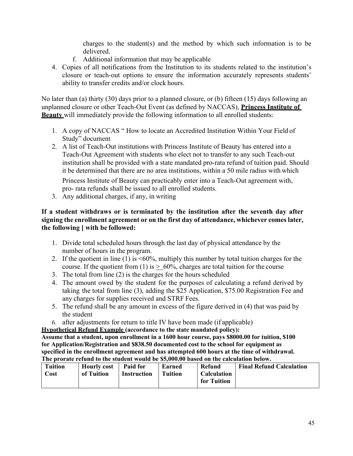charges to the student(s) and the method by which such information is to be delivered.

- f. Additional information that may be applicable
- 4. Copies of all notifications from the Institution to its students related to the institution's closure or teach-out options to ensure the information accurately represents students' ability to transfer credits and/or clock hours.

No later than (a) thirty (30) days prior to a planned closure, or (b) fifteen (15) days following an unplanned closure or other Teach-Out Event (as defined by NACCAS), **Princess Institute of Beauty** will immediately provide the following information to all enrolled students:

- 1. A copy of NACCAS " How to locate an Accredited Institution Within Your Field of Study" document
- 2. A list of Teach-Out institutions with Princess Institute of Beauty has entered into a Teach-Out Agreement with students who elect not to transfer to any such Teach-out institution shall be provided with a state mandated pro-rata refund of tuition paid. Should it be determined that there are no area institutions, within a 50 mile radius with which

Princess Institute of Beauty can practicably enter into a Teach-Out agreement with, pro- rata refunds shall be issued to all enrolled students.

3. Any additional charges, if any, in writing

### **If a student withdraws or is terminated by the institution after the seventh day after signing the enrollment agreement or on the first day of attendance, whichever comes later, the following [ with be followed:**

- 1. Divide total scheduled hours through the last day of physical attendance by the number of hours in the program.
- 2. If the quotient in line (1) is  $\leq 60\%$ , multiply this number by total tuition charges for the course. If the quotient from (1) is  $> 60\%$ , charges are total tuition for the course
- 3. The total from line (2) is the charges for the hours scheduled
- 4. The amount owed by the student for the purposes of calculating a refund derived by taking the total from line (3), adding the \$25 Application, \$75.00 Registration Fee and any charges for supplies received and STRF Fees.
- 5. The refund shall be any amount in excess of the figure derived in (4) that was paid by the student
- 6. after adjustments for return to title IV have been made (if applicable)

**Hypothetical Refund Example (accordance to the state mandated policy):**

**Assume that a student, upon enrollment in a 1600 hour course, pays \$8000.00 for tuition, \$100 for Application/Registration and \$838.50 documented cost to the school for equipment as specified in the enrollment agreement and has attempted 600 hours at the time of withdrawal. The prorate refund to the student would be \$5,000.00 based on the calculation below.**

| <b>Tuition</b> | <b>Hourly cost</b> | <b>Paid for</b> | Earned         | Refund             | <b>Final Refund Calculation</b> |
|----------------|--------------------|-----------------|----------------|--------------------|---------------------------------|
| Cost           | of Tuition         | Instruction     | <b>Tuition</b> | <b>Calculation</b> |                                 |
|                |                    |                 |                | for Tuition        |                                 |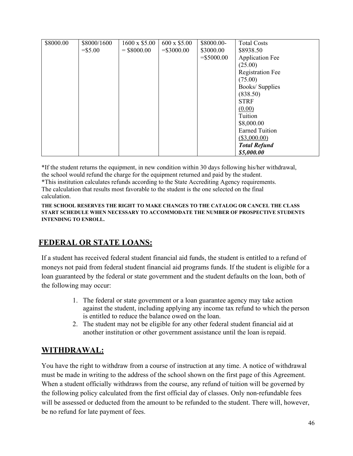| \$8000.00 | \$8000/1600 | $1600 \times $5.00$ | 600 x \$5.00 | \$8000.00-   | <b>Total Costs</b>      |
|-----------|-------------|---------------------|--------------|--------------|-------------------------|
|           | $= $5.00$   | $=$ \$8000.00       | $= $3000.00$ | \$3000.00    | \$8938.50               |
|           |             |                     |              | $= $5000.00$ | <b>Application Fee</b>  |
|           |             |                     |              |              | (25.00)                 |
|           |             |                     |              |              | <b>Registration Fee</b> |
|           |             |                     |              |              | (75.00)                 |
|           |             |                     |              |              | Books/Supplies          |
|           |             |                     |              |              | (838.50)                |
|           |             |                     |              |              | <b>STRF</b>             |
|           |             |                     |              |              | (0.00)                  |
|           |             |                     |              |              | Tuition                 |
|           |             |                     |              |              | \$8,000.00              |
|           |             |                     |              |              | <b>Earned Tuition</b>   |
|           |             |                     |              |              | $(\$3,000.00)$          |
|           |             |                     |              |              | <b>Total Refund</b>     |
|           |             |                     |              |              | \$5,000.00              |

\*If the student returns the equipment, in new condition within 30 days following his/her withdrawal, the school would refund the charge for the equipment returned and paid by the student.

\*This institution calculates refunds according to the State Accrediting Agency requirements. The calculation that results most favorable to the student is the one selected on the final calculation.

**THE SCHOOL RESERVES THE RIGHT TO MAKE CHANGES TO THE CATALOG OR CANCEL THE CLASS START SCHEDULE WHEN NECESSARY TO ACCOMMODATE THE NUMBER OF PROSPECTIVE STUDENTS INTENDING TO ENROLL.**

# **FEDERAL OR STATE LOANS:**

If a student has received federal student financial aid funds, the student is entitled to a refund of moneys not paid from federal student financial aid programs funds. If the student is eligible for a loan guaranteed by the federal or state government and the student defaults on the loan, both of the following may occur:

- 1. The federal or state government or a loan guarantee agency may take action against the student, including applying any income tax refund to which the person is entitled to reduce the balance owed on the loan.
- 2. The student may not be eligible for any other federal student financial aid at another institution or other government assistance until the loan is repaid.

# **WITHDRAWAL:**

You have the right to withdraw from a course of instruction at any time. A notice of withdrawal must be made in writing to the address of the school shown on the first page of this Agreement. When a student officially withdraws from the course, any refund of tuition will be governed by the following policy calculated from the first official day of classes. Only non-refundable fees will be assessed or deducted from the amount to be refunded to the student. There will, however, be no refund for late payment of fees.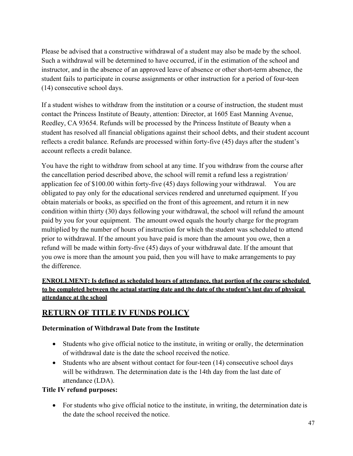Please be advised that a constructive withdrawal of a student may also be made by the school. Such a withdrawal will be determined to have occurred, if in the estimation of the school and instructor, and in the absence of an approved leave of absence or other short-term absence, the student fails to participate in course assignments or other instruction for a period of four-teen (14) consecutive school days.

If a student wishes to withdraw from the institution or a course of instruction, the student must contact the Princess Institute of Beauty, attention: Director, at 1605 East Manning Avenue, Reedley, CA 93654. Refunds will be processed by the Princess Institute of Beauty when a student has resolved all financial obligations against their school debts, and their student account reflects a credit balance. Refunds are processed within forty-five (45) days after the student's account reflects a credit balance.

You have the right to withdraw from school at any time. If you withdraw from the course after the cancellation period described above, the school will remit a refund less a registration/ application fee of \$100.00 within forty-five (45) days following your withdrawal. You are obligated to pay only for the educational services rendered and unreturned equipment. If you obtain materials or books, as specified on the front of this agreement, and return it in new condition within thirty (30) days following your withdrawal, the school will refund the amount paid by you for your equipment. The amount owed equals the hourly charge for the program multiplied by the number of hours of instruction for which the student was scheduled to attend prior to withdrawal. If the amount you have paid is more than the amount you owe, then a refund will be made within forty-five (45) days of your withdrawal date. If the amount that you owe is more than the amount you paid, then you will have to make arrangements to pay the difference.

# **ENROLLMENT: Is defined as scheduled hours of attendance, that portion of the course scheduled to be completed between the actual starting date and the date of the student's last day of physical attendance at the school**

# **RETURN OF TITLE IV FUNDS POLICY**

# **Determination of Withdrawal Date from the Institute**

- Students who give official notice to the institute, in writing or orally, the determination of withdrawal date is the date the school received the notice.
- Students who are absent without contact for four-teen (14) consecutive school days will be withdrawn. The determination date is the 14th day from the last date of attendance (LDA).

# **Title IV refund purposes:**

• For students who give official notice to the institute, in writing, the determination date is the date the school received the notice.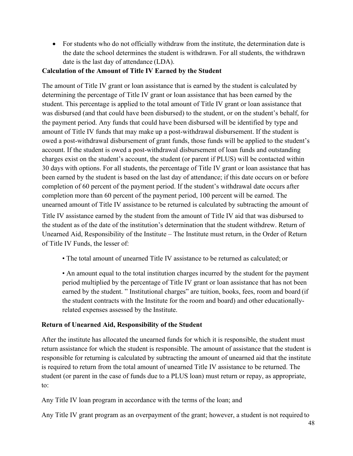• For students who do not officially withdraw from the institute, the determination date is the date the school determines the student is withdrawn. For all students, the withdrawn date is the last day of attendance (LDA).

# **Calculation of the Amount of Title IV Earned by the Student**

The amount of Title IV grant or loan assistance that is earned by the student is calculated by determining the percentage of Title IV grant or loan assistance that has been earned by the student. This percentage is applied to the total amount of Title IV grant or loan assistance that was disbursed (and that could have been disbursed) to the student, or on the student's behalf, for the payment period. Any funds that could have been disbursed will be identified by type and amount of Title IV funds that may make up a post-withdrawal disbursement. If the student is owed a post-withdrawal disbursement of grant funds, those funds will be applied to the student's account. If the student is owed a post-withdrawal disbursement of loan funds and outstanding charges exist on the student's account, the student (or parent if PLUS) will be contacted within 30 days with options. For all students, the percentage of Title IV grant or loan assistance that has been earned by the student is based on the last day of attendance; if this date occurs on or before completion of 60 percent of the payment period. If the student's withdrawal date occurs after completion more than 60 percent of the payment period, 100 percent will be earned. The unearned amount of Title IV assistance to be returned is calculated by subtracting the amount of

Title IV assistance earned by the student from the amount of Title IV aid that was disbursed to the student as of the date of the institution's determination that the student withdrew. Return of Unearned Aid, Responsibility of the Institute – The Institute must return, in the Order of Return of Title IV Funds, the lesser of:

• The total amount of unearned Title IV assistance to be returned as calculated; or

• An amount equal to the total institution charges incurred by the student for the payment period multiplied by the percentage of Title IV grant or loan assistance that has not been earned by the student. " Institutional charges" are tuition, books, fees, room and board (if the student contracts with the Institute for the room and board) and other educationallyrelated expenses assessed by the Institute.

# **Return of Unearned Aid, Responsibility of the Student**

After the institute has allocated the unearned funds for which it is responsible, the student must return assistance for which the student is responsible. The amount of assistance that the student is responsible for returning is calculated by subtracting the amount of unearned aid that the institute is required to return from the total amount of unearned Title IV assistance to be returned. The student (or parent in the case of funds due to a PLUS loan) must return or repay, as appropriate, to:

Any Title IV loan program in accordance with the terms of the loan; and

Any Title IV grant program as an overpayment of the grant; however, a student is not required to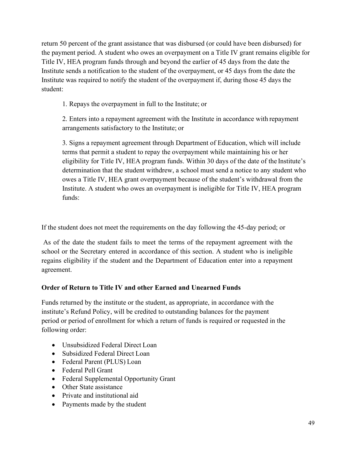return 50 percent of the grant assistance that was disbursed (or could have been disbursed) for the payment period. A student who owes an overpayment on a Title IV grant remains eligible for Title IV, HEA program funds through and beyond the earlier of 45 days from the date the Institute sends a notification to the student of the overpayment, or 45 days from the date the Institute was required to notify the student of the overpayment if, during those 45 days the student:

1. Repays the overpayment in full to the Institute; or

2. Enters into a repayment agreement with the Institute in accordance with repayment arrangements satisfactory to the Institute; or

3. Signs a repayment agreement through Department of Education, which will include terms that permit a student to repay the overpayment while maintaining his or her eligibility for Title IV, HEA program funds. Within 30 days of the date of the Institute's determination that the student withdrew, a school must send a notice to any student who owes a Title IV, HEA grant overpayment because of the student's withdrawal from the Institute. A student who owes an overpayment is ineligible for Title IV, HEA program funds:

If the student does not meet the requirements on the day following the 45-day period; or

As of the date the student fails to meet the terms of the repayment agreement with the school or the Secretary entered in accordance of this section. A student who is ineligible regains eligibility if the student and the Department of Education enter into a repayment agreement.

# **Order of Return to Title IV and other Earned and Unearned Funds**

Funds returned by the institute or the student, as appropriate, in accordance with the institute's Refund Policy, will be credited to outstanding balances for the payment period or period of enrollment for which a return of funds is required or requested in the following order:

- Unsubsidized Federal Direct Loan
- Subsidized Federal Direct Loan
- Federal Parent (PLUS) Loan
- Federal Pell Grant
- Federal Supplemental Opportunity Grant
- Other State assistance
- Private and institutional aid
- Payments made by the student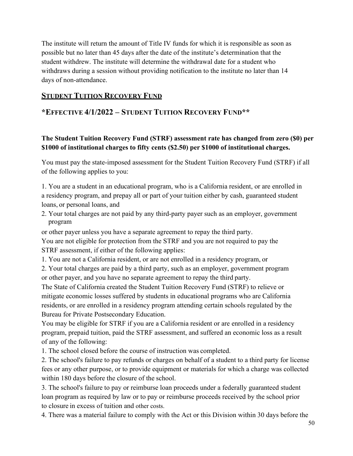The institute will return the amount of Title IV funds for which it is responsible as soon as possible but no later than 45 days after the date of the institute's determination that the student withdrew. The institute will determine the withdrawal date for a student who withdraws during a session without providing notification to the institute no later than 14 days of non-attendance.

# **STUDENT TUITION RECOVERY FUND**

# **\*EFFECTIVE 4/1/2022 – STUDENT TUITION RECOVERY FUND\*\***

# **The Student Tuition Recovery Fund (STRF) assessment rate has changed from zero (\$0) per \$1000 of institutional charges to fifty cents (\$2.50) per \$1000 of institutional charges.**

You must pay the state-imposed assessment for the Student Tuition Recovery Fund (STRF) if all of the following applies to you:

1. You are a student in an educational program, who is a California resident, or are enrolled in a residency program, and prepay all or part of your tuition either by cash, guaranteed student loans, or personal loans, and

2. Your total charges are not paid by any third-party payer such as an employer, government program

or other payer unless you have a separate agreement to repay the third party.

You are not eligible for protection from the STRF and you are not required to pay the STRF assessment, if either of the following applies:

1. You are not a California resident, or are not enrolled in a residency program, or

2. Your total charges are paid by a third party, such as an employer, government program or other payer, and you have no separate agreement to repay the third party.

The State of California created the Student Tuition Recovery Fund (STRF) to relieve or mitigate economic losses suffered by students in educational programs who are California residents, or are enrolled in a residency program attending certain schools regulated by the Bureau for Private Postsecondary Education.

You may be eligible for STRF if you are a California resident or are enrolled in a residency program, prepaid tuition, paid the STRF assessment, and suffered an economic loss as a result of any of the following:

1. The school closed before the course of instruction was completed.

2. The school's failure to pay refunds or charges on behalf of a student to a third party for license fees or any other purpose, or to provide equipment or materials for which a charge was collected within 180 days before the closure of the school.

3. The school's failure to pay or reimburse loan proceeds under a federally guaranteed student loan program as required by law or to pay or reimburse proceeds received by the school prior to closure in excess of tuition and other costs.

4. There was a material failure to comply with the Act or this Division within 30 days before the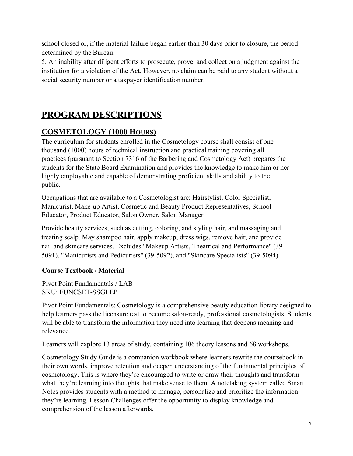school closed or, if the material failure began earlier than 30 days prior to closure, the period determined by the Bureau.

5. An inability after diligent efforts to prosecute, prove, and collect on a judgment against the institution for a violation of the Act. However, no claim can be paid to any student without a social security number or a taxpayer identification number.

# **PROGRAM DESCRIPTIONS**

# **COSMETOLOGY (1000 HOURS)**

The curriculum for students enrolled in the Cosmetology course shall consist of one thousand (1000) hours of technical instruction and practical training covering all practices (pursuant to Section 7316 of the Barbering and Cosmetology Act) prepares the students for the State Board Examination and provides the knowledge to make him or her highly employable and capable of demonstrating proficient skills and ability to the public.

Occupations that are available to a Cosmetologist are: Hairstylist, Color Specialist, Manicurist, Make-up Artist, Cosmetic and Beauty Product Representatives, School Educator, Product Educator, Salon Owner, Salon Manager

Provide beauty services, such as cutting, coloring, and styling hair, and massaging and treating scalp. May shampoo hair, apply makeup, dress wigs, remove hair, and provide nail and skincare services. Excludes "Makeup Artists, Theatrical and Performance" (39- 5091), "Manicurists and Pedicurists" (39-5092), and "Skincare Specialists" (39-5094).

# **Course Textbook / Material**

Pivot Point Fundamentals / LAB SKU: FUNCSET-SSGLEP

Pivot Point Fundamentals: Cosmetology is a comprehensive beauty education library designed to help learners pass the licensure test to become salon-ready, professional cosmetologists. Students will be able to transform the information they need into learning that deepens meaning and relevance.

Learners will explore 13 areas of study, containing 106 theory lessons and 68 workshops.

Cosmetology Study Guide is a companion workbook where learners rewrite the coursebook in their own words, improve retention and deepen understanding of the fundamental principles of cosmetology. This is where they're encouraged to write or draw their thoughts and transform what they're learning into thoughts that make sense to them. A notetaking system called Smart Notes provides students with a method to manage, personalize and prioritize the information they're learning. Lesson Challenges offer the opportunity to display knowledge and comprehension of the lesson afterwards.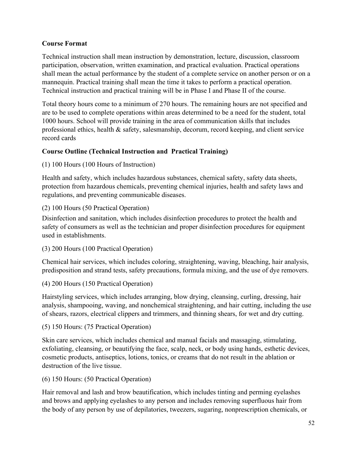# **Course Format**

Technical instruction shall mean instruction by demonstration, lecture, discussion, classroom participation, observation, written examination, and practical evaluation. Practical operations shall mean the actual performance by the student of a complete service on another person or on a mannequin. Practical training shall mean the time it takes to perform a practical operation. Technical instruction and practical training will be in Phase I and Phase II of the course.

Total theory hours come to a minimum of 270 hours. The remaining hours are not specified and are to be used to complete operations within areas determined to be a need for the student, total 1000 hours. School will provide training in the area of communication skills that includes professional ethics, health & safety, salesmanship, decorum, record keeping, and client service record cards

# **Course Outline (Technical Instruction and Practical Training)**

(1) 100 Hours (100 Hours of Instruction)

Health and safety, which includes hazardous substances, chemical safety, safety data sheets, protection from hazardous chemicals, preventing chemical injuries, health and safety laws and regulations, and preventing communicable diseases.

# (2) 100 Hours (50 Practical Operation)

Disinfection and sanitation, which includes disinfection procedures to protect the health and safety of consumers as well as the technician and proper disinfection procedures for equipment used in establishments.

(3) 200 Hours (100 Practical Operation)

Chemical hair services, which includes coloring, straightening, waving, bleaching, hair analysis, predisposition and strand tests, safety precautions, formula mixing, and the use of dye removers.

# (4) 200 Hours (150 Practical Operation)

Hairstyling services, which includes arranging, blow drying, cleansing, curling, dressing, hair analysis, shampooing, waving, and nonchemical straightening, and hair cutting, including the use of shears, razors, electrical clippers and trimmers, and thinning shears, for wet and dry cutting.

(5) 150 Hours: (75 Practical Operation)

Skin care services, which includes chemical and manual facials and massaging, stimulating, exfoliating, cleansing, or beautifying the face, scalp, neck, or body using hands, esthetic devices, cosmetic products, antiseptics, lotions, tonics, or creams that do not result in the ablation or destruction of the live tissue.

(6) 150 Hours: (50 Practical Operation)

Hair removal and lash and brow beautification, which includes tinting and perming eyelashes and brows and applying eyelashes to any person and includes removing superfluous hair from the body of any person by use of depilatories, tweezers, sugaring, nonprescription chemicals, or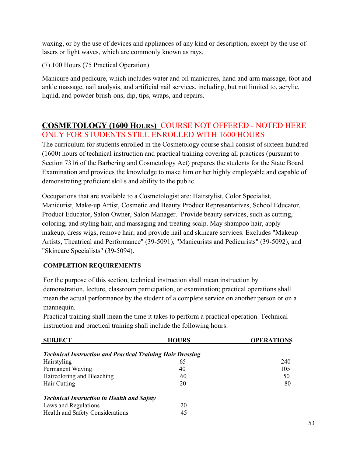waxing, or by the use of devices and appliances of any kind or description, except by the use of lasers or light waves, which are commonly known as rays.

(7) 100 Hours (75 Practical Operation)

Manicure and pedicure, which includes water and oil manicures, hand and arm massage, foot and ankle massage, nail analysis, and artificial nail services, including, but not limited to, acrylic, liquid, and powder brush-ons, dip, tips, wraps, and repairs.

# **COSMETOLOGY (1600 HOURS)** COURSE NOT OFFERED - NOTED HERE ONLY FOR STUDENTS STILL ENROLLED WITH 1600 HOURS

The curriculum for students enrolled in the Cosmetology course shall consist of sixteen hundred (1600) hours of technical instruction and practical training covering all practices (pursuant to Section 7316 of the Barbering and Cosmetology Act) prepares the students for the State Board Examination and provides the knowledge to make him or her highly employable and capable of demonstrating proficient skills and ability to the public.

Occupations that are available to a Cosmetologist are: Hairstylist, Color Specialist, Manicurist, Make-up Artist, Cosmetic and Beauty Product Representatives, School Educator, Product Educator, Salon Owner, Salon Manager. Provide beauty services, such as cutting, coloring, and styling hair, and massaging and treating scalp. May shampoo hair, apply makeup, dress wigs, remove hair, and provide nail and skincare services. Excludes "Makeup Artists, Theatrical and Performance" (39-5091), "Manicurists and Pedicurists" (39-5092), and "Skincare Specialists" (39-5094).

# **COMPLETION REQUIREMENTS**

For the purpose of this section, technical instruction shall mean instruction by demonstration, lecture, classroom participation, or examination; practical operations shall mean the actual performance by the student of a complete service on another person or on a mannequin.

| <b>SUBJECT</b>                                                    | <b>HOURS</b> | <b>OPERATIONS</b> |
|-------------------------------------------------------------------|--------------|-------------------|
| <b>Technical Instruction and Practical Training Hair Dressing</b> |              |                   |
| Hairstyling                                                       | 65           | 240               |
| Permanent Waving                                                  | 40           | 105               |
| Haircoloring and Bleaching                                        | 60           | 50                |
| Hair Cutting                                                      | 20           | 80                |
| <b>Technical Instruction in Health and Safety</b>                 |              |                   |
| Laws and Regulations                                              | 20           |                   |
| Health and Safety Considerations                                  | 45           |                   |

Practical training shall mean the time it takes to perform a practical operation. Technical instruction and practical training shall include the following hours: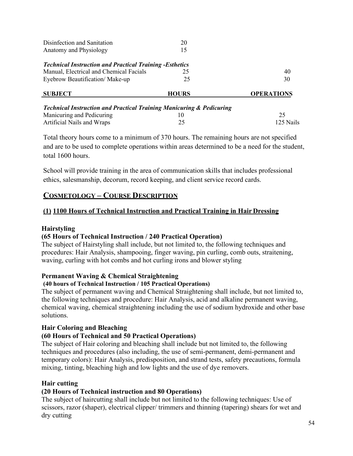| Disinfection and Sanitation                                                     | 20           |                   |
|---------------------------------------------------------------------------------|--------------|-------------------|
| Anatomy and Physiology                                                          | 15           |                   |
| <b>Technical Instruction and Practical Training - Esthetics</b>                 |              |                   |
| Manual, Electrical and Chemical Facials                                         | 25           | 40                |
| Eyebrow Beautification/Make-up                                                  | 25           | 30                |
| <b>SUBJECT</b>                                                                  | <b>HOURS</b> | <b>OPERATIONS</b> |
| <b>Technical Instruction and Practical Training Manicuring &amp; Pedicuring</b> |              |                   |
| Manicuring and Pedicuring                                                       | 10           | 25                |
| Artificial Nails and Wraps                                                      | 25           | 125 Nails         |

Total theory hours come to a minimum of 370 hours. The remaining hours are not specified and are to be used to complete operations within areas determined to be a need for the student, total 1600 hours.

School will provide training in the area of communication skills that includes professional ethics, salesmanship, decorum, record keeping, and client service record cards.

# **COSMETOLOGY – COURSE DESCRIPTION**

# **(1) 1100 Hours of Technical Instruction and Practical Training in Hair Dressing**

### **Hairstyling**

# **(65 Hours of Technical Instruction / 240 Practical Operation)**

The subject of Hairstyling shall include, but not limited to, the following techniques and procedures: Hair Analysis, shampooing, finger waving, pin curling, comb outs, straitening, waving, curling with hot combs and hot curling irons and blower styling

# **Permanent Waving & Chemical Straightening**

#### **(40 hours of Technical Instruction / 105 Practical Operations)**

The subject of permanent waving and Chemical Straightening shall include, but not limited to, the following techniques and procedure: Hair Analysis, acid and alkaline permanent waving, chemical waving, chemical straightening including the use of sodium hydroxide and other base solutions.

# **Hair Coloring and Bleaching**

# **(60 Hours of Technical and 50 Practical Operations)**

The subject of Hair coloring and bleaching shall include but not limited to, the following techniques and procedures (also including, the use of semi-permanent, demi-permanent and temporary colors): Hair Analysis, predisposition, and strand tests, safety precautions, formula mixing, tinting, bleaching high and low lights and the use of dye removers.

# **Hair cutting**

# **(20 Hours of Technical instruction and 80 Operations)**

The subject of haircutting shall include but not limited to the following techniques: Use of scissors, razor (shaper), electrical clipper/ trimmers and thinning (tapering) shears for wet and dry cutting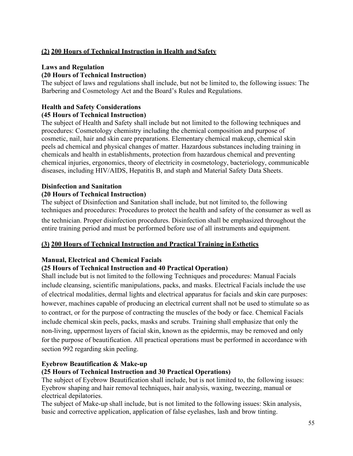# **(2) 200 Hours of Technical Instruction in Health and Safety**

### **Laws and Regulation**

### **(20 Hours of Technical Instruction)**

The subject of laws and regulations shall include, but not be limited to, the following issues: The Barbering and Cosmetology Act and the Board's Rules and Regulations.

# **Health and Safety Considerations (45 Hours of Technical Instruction)**

The subject of Health and Safety shall include but not limited to the following techniques and procedures: Cosmetology chemistry including the chemical composition and purpose of cosmetic, nail, hair and skin care preparations. Elementary chemical makeup, chemical skin peels ad chemical and physical changes of matter. Hazardous substances including training in chemicals and health in establishments, protection from hazardous chemical and preventing chemical injuries, ergonomics, theory of electricity in cosmetology, bacteriology, communicable diseases, including HIV/AIDS, Hepatitis B, and staph and Material Safety Data Sheets.

#### **Disinfection and Sanitation (20 Hours of Technical Instruction)**

The subject of Disinfection and Sanitation shall include, but not limited to, the following techniques and procedures: Procedures to protect the health and safety of the consumer as well as

the technician. Proper disinfection procedures. Disinfection shall be emphasized throughout the entire training period and must be performed before use of all instruments and equipment.

# **(3) 200 Hours of Technical Instruction and Practical Training in Esthetics**

#### **Manual, Electrical and Chemical Facials**

#### **(25 Hours of Technical Instruction and 40 Practical Operation)**

Shall include but is not limited to the following Techniques and procedures: Manual Facials include cleansing, scientific manipulations, packs, and masks. Electrical Facials include the use of electrical modalities, dermal lights and electrical apparatus for facials and skin care purposes: however, machines capable of producing an electrical current shall not be used to stimulate so as to contract, or for the purpose of contracting the muscles of the body or face. Chemical Facials include chemical skin peels, packs, masks and scrubs. Training shall emphasize that only the non-living, uppermost layers of facial skin, known as the epidermis, may be removed and only for the purpose of beautification. All practical operations must be performed in accordance with section 992 regarding skin peeling.

#### **Eyebrow Beautification & Make-up**

#### **(25 Hours of Technical Instruction and 30 Practical Operations)**

The subject of Eyebrow Beautification shall include, but is not limited to, the following issues: Eyebrow shaping and hair removal techniques, hair analysis, waxing, tweezing, manual or electrical depilatories.

The subject of Make-up shall include, but is not limited to the following issues: Skin analysis, basic and corrective application, application of false eyelashes, lash and brow tinting.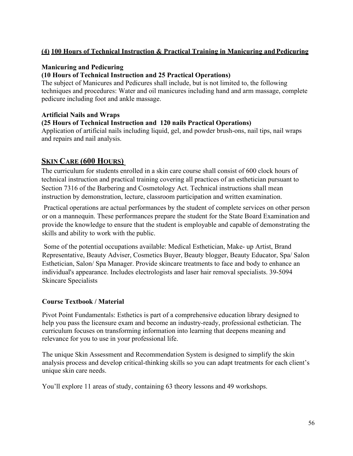# **(4) 100 Hours of Technical Instruction & Practical Training in Manicuring and Pedicuring**

### **Manicuring and Pedicuring**

### **(10 Hours of Technical Instruction and 25 Practical Operations)**

The subject of Manicures and Pedicures shall include, but is not limited to, the following techniques and procedures: Water and oil manicures including hand and arm massage, complete pedicure including foot and ankle massage.

#### **Artificial Nails and Wraps**

#### **(25 Hours of Technical Instruction and 120 nails Practical Operations)**

Application of artificial nails including liquid, gel, and powder brush-ons, nail tips, nail wraps and repairs and nail analysis.

# **SKIN CARE (600 HOURS)**

The curriculum for students enrolled in a skin care course shall consist of 600 clock hours of technical instruction and practical training covering all practices of an esthetician pursuant to Section 7316 of the Barbering and Cosmetology Act. Technical instructions shall mean instruction by demonstration, lecture, classroom participation and written examination.

Practical operations are actual performances by the student of complete services on other person or on a mannequin. These performances prepare the student for the State Board Examination and provide the knowledge to ensure that the student is employable and capable of demonstrating the skills and ability to work with the public.

Some of the potential occupations available: Medical Esthetician, Make- up Artist, Brand Representative, Beauty Adviser, Cosmetics Buyer, Beauty blogger, Beauty Educator, Spa/ Salon Esthetician, Salon/ Spa Manager. Provide skincare treatments to face and body to enhance an individual's appearance. Includes electrologists and laser hair removal specialists. 39-5094 Skincare Specialists

#### **Course Textbook / Material**

Pivot Point Fundamentals: Esthetics is part of a comprehensive education library designed to help you pass the licensure exam and become an industry-ready, professional esthetician. The curriculum focuses on transforming information into learning that deepens meaning and relevance for you to use in your professional life.

The unique Skin Assessment and Recommendation System is designed to simplify the skin analysis process and develop critical-thinking skills so you can adapt treatments for each client's unique skin care needs.

You'll explore 11 areas of study, containing 63 theory lessons and 49 workshops.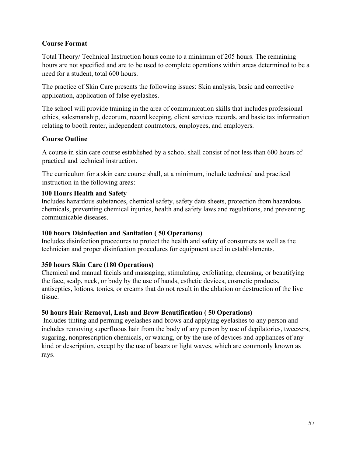### **Course Format**

Total Theory/ Technical Instruction hours come to a minimum of 205 hours. The remaining hours are not specified and are to be used to complete operations within areas determined to be a need for a student, total 600 hours.

The practice of Skin Care presents the following issues: Skin analysis, basic and corrective application, application of false eyelashes.

The school will provide training in the area of communication skills that includes professional ethics, salesmanship, decorum, record keeping, client services records, and basic tax information relating to booth renter, independent contractors, employees, and employers.

### **Course Outline**

A course in skin care course established by a school shall consist of not less than 600 hours of practical and technical instruction.

The curriculum for a skin care course shall, at a minimum, include technical and practical instruction in the following areas:

### **100 Hours Health and Safety**

Includes hazardous substances, chemical safety, safety data sheets, protection from hazardous chemicals, preventing chemical injuries, health and safety laws and regulations, and preventing communicable diseases.

#### **100 hours Disinfection and Sanitation ( 50 Operations)**

Includes disinfection procedures to protect the health and safety of consumers as well as the technician and proper disinfection procedures for equipment used in establishments.

# **350 hours Skin Care (180 Operations)**

Chemical and manual facials and massaging, stimulating, exfoliating, cleansing, or beautifying the face, scalp, neck, or body by the use of hands, esthetic devices, cosmetic products, antiseptics, lotions, tonics, or creams that do not result in the ablation or destruction of the live tissue.

# **50 hours Hair Removal, Lash and Brow Beautification ( 50 Operations)**

Includes tinting and perming eyelashes and brows and applying eyelashes to any person and includes removing superfluous hair from the body of any person by use of depilatories, tweezers, sugaring, nonprescription chemicals, or waxing, or by the use of devices and appliances of any kind or description, except by the use of lasers or light waves, which are commonly known as rays.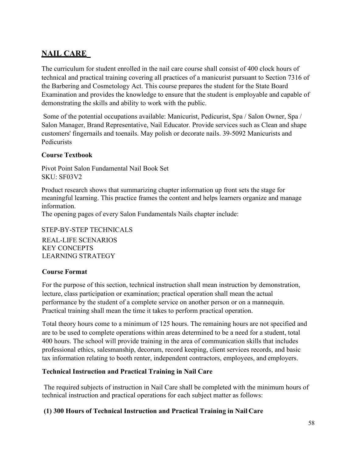# **NAIL CARE**

The curriculum for student enrolled in the nail care course shall consist of 400 clock hours of technical and practical training covering all practices of a manicurist pursuant to Section 7316 of the Barbering and Cosmetology Act. This course prepares the student for the State Board Examination and provides the knowledge to ensure that the student is employable and capable of demonstrating the skills and ability to work with the public.

Some of the potential occupations available: Manicurist, Pedicurist, Spa / Salon Owner, Spa / Salon Manager, Brand Representative, Nail Educator. Provide services such as Clean and shape customers' fingernails and toenails. May polish or decorate nails. 39-5092 Manicurists and Pedicurists

# **Course Textbook**

Pivot Point Salon Fundamental Nail Book Set SKU: SF03V2

Product research shows that summarizing chapter information up front sets the stage for meaningful learning. This practice frames the content and helps learners organize and manage information.

The opening pages of every Salon Fundamentals Nails chapter include:

STEP-BY-STEP TECHNICALS REAL-LIFE SCENARIOS KEY CONCEPTS LEARNING STRATEGY

# **Course Format**

For the purpose of this section, technical instruction shall mean instruction by demonstration, lecture, class participation or examination; practical operation shall mean the actual performance by the student of a complete service on another person or on a mannequin. Practical training shall mean the time it takes to perform practical operation.

Total theory hours come to a minimum of 125 hours. The remaining hours are not specified and are to be used to complete operations within areas determined to be a need for a student, total 400 hours. The school will provide training in the area of communication skills that includes professional ethics, salesmanship, decorum, record keeping, client services records, and basic tax information relating to booth renter, independent contractors, employees, and employers.

# **Technical Instruction and Practical Training in Nail Care**

The required subjects of instruction in Nail Care shall be completed with the minimum hours of technical instruction and practical operations for each subject matter as follows:

# **(1) 300 Hours of Technical Instruction and Practical Training in Nail Care**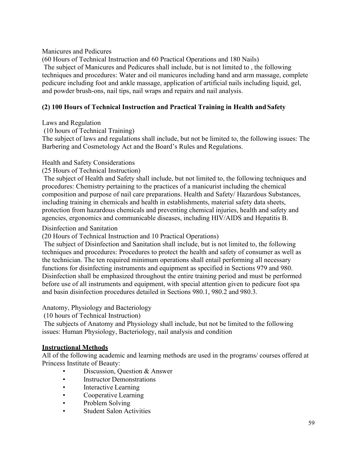Manicures and Pedicures

(60 Hours of Technical Instruction and 60 Practical Operations and 180 Nails)

The subject of Manicures and Pedicures shall include, but is not limited to , the following techniques and procedures: Water and oil manicures including hand and arm massage, complete pedicure including foot and ankle massage, application of artificial nails including liquid, gel, and powder brush-ons, nail tips, nail wraps and repairs and nail analysis.

# **(2) 100 Hours of Technical Instruction and Practical Training in Health and Safety**

Laws and Regulation

(10 hours of Technical Training)

The subject of laws and regulations shall include, but not be limited to, the following issues: The Barbering and Cosmetology Act and the Board's Rules and Regulations.

# Health and Safety Considerations

### (25 Hours of Technical Instruction)

The subject of Health and Safety shall include, but not limited to, the following techniques and procedures: Chemistry pertaining to the practices of a manicurist including the chemical composition and purpose of nail care preparations. Health and Safety/ Hazardous Substances, including training in chemicals and health in establishments, material safety data sheets, protection from hazardous chemicals and preventing chemical injuries, health and safety and agencies, ergonomics and communicable diseases, including HIV/AIDS and Hepatitis B.

### Disinfection and Sanitation

(20 Hours of Technical Instruction and 10 Practical Operations)

The subject of Disinfection and Sanitation shall include, but is not limited to, the following techniques and procedures: Procedures to protect the health and safety of consumer as well as the technician. The ten required minimum operations shall entail performing all necessary functions for disinfecting instruments and equipment as specified in Sections 979 and 980. Disinfection shall be emphasized throughout the entire training period and must be performed before use of all instruments and equipment, with special attention given to pedicure foot spa and basin disinfection procedures detailed in Sections 980.1, 980.2 and 980.3.

Anatomy, Physiology and Bacteriology

(10 hours of Technical Instruction)

The subjects of Anatomy and Physiology shall include, but not be limited to the following issues: Human Physiology, Bacteriology, nail analysis and condition

#### **Instructional Methods**

All of the following academic and learning methods are used in the programs/ courses offered at Princess Institute of Beauty:

- Discussion, Question & Answer
- Instructor Demonstrations
- Interactive Learning
- Cooperative Learning
- Problem Solving
- Student Salon Activities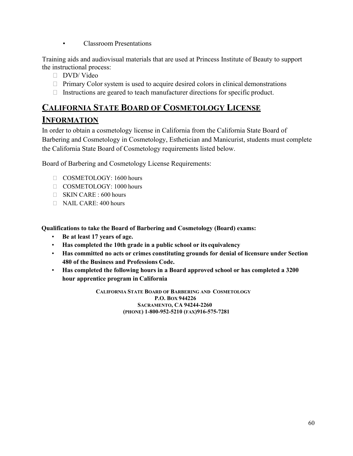• Classroom Presentations

Training aids and audiovisual materials that are used at Princess Institute of Beauty to support the instructional process:

- DVD/ Video
- $\Box$  Primary Color system is used to acquire desired colors in clinical demonstrations
- $\Box$  Instructions are geared to teach manufacturer directions for specific product.

# **CALIFORNIA STATE BOARD OF COSMETOLOGY LICENSE INFORMATION**

In order to obtain a cosmetology license in California from the California State Board of Barbering and Cosmetology in Cosmetology, Esthetician and Manicurist, students must complete the California State Board of Cosmetology requirements listed below.

Board of Barbering and Cosmetology License Requirements:

- COSMETOLOGY: 1600 hours
- COSMETOLOGY: 1000 hours
- SKIN CARE : 600 hours
- NAIL CARE: 400 hours

**Qualifications to take the Board of Barbering and Cosmetology (Board) exams:** 

- **Be at least 17 years of age.**
- **Has completed the 10th grade in a public school or its equivalency**
- **Has committed no acts or crimes constituting grounds for denial of licensure under Section 480 of the Business and Professions Code.**
- **Has completed the following hours in a Board approved school or has completed a 3200 hour apprentice program in California**

**CALIFORNIA STATE BOARD OF BARBERING AND COSMETOLOGY P.O. BOX 944226 SACRAMENTO, CA 94244-2260 (PHONE) 1-800-952-5210 (FAX)916-575-7281**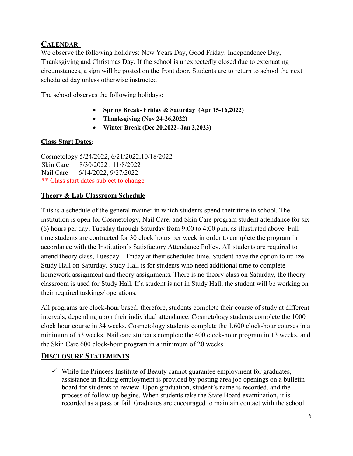# **CALENDAR**

We observe the following holidays: New Years Day, Good Friday, Independence Day, Thanksgiving and Christmas Day. If the school is unexpectedly closed due to extenuating circumstances, a sign will be posted on the front door. Students are to return to school the next scheduled day unless otherwise instructed

The school observes the following holidays:

- **Spring Break- Friday & Saturday (Apr 15-16,2022)**
- **Thanksgiving (Nov 24-26,2022)**
- **Winter Break (Dec 20,2022- Jan 2,2023)**

# **Class Start Dates**:

Cosmetology 5/24/2022, 6/21/2022,10/18/2022 Skin Care 8/30/2022 , 11/8/2022 Nail Care 6/14/2022, 9/27/2022 \*\* Class start dates subject to change

# **Theory & Lab Classroom Schedule**

This is a schedule of the general manner in which students spend their time in school. The institution is open for Cosmetology, Nail Care, and Skin Care program student attendance for six (6) hours per day, Tuesday through Saturday from 9:00 to 4:00 p.m. as illustrated above. Full time students are contracted for 30 clock hours per week in order to complete the program in accordance with the Institution's Satisfactory Attendance Policy. All students are required to attend theory class, Tuesday – Friday at their scheduled time. Student have the option to utilize Study Hall on Saturday. Study Hall is for students who need additional time to complete homework assignment and theory assignments. There is no theory class on Saturday, the theory classroom is used for Study Hall. If a student is not in Study Hall, the student will be working on their required taskings/ operations.

All programs are clock-hour based; therefore, students complete their course of study at different intervals, depending upon their individual attendance. Cosmetology students complete the 1000 clock hour course in 34 weeks. Cosmetology students complete the 1,600 clock-hour courses in a minimum of 53 weeks. Nail care students complete the 400 clock-hour program in 13 weeks, and the Skin Care 600 clock-hour program in a minimum of 20 weeks.

# **DISCLOSURE STATEMENTS**

 $\checkmark$  While the Princess Institute of Beauty cannot guarantee employment for graduates, assistance in finding employment is provided by posting area job openings on a bulletin board for students to review. Upon graduation, student's name is recorded, and the process of follow-up begins. When students take the State Board examination, it is recorded as a pass or fail. Graduates are encouraged to maintain contact with the school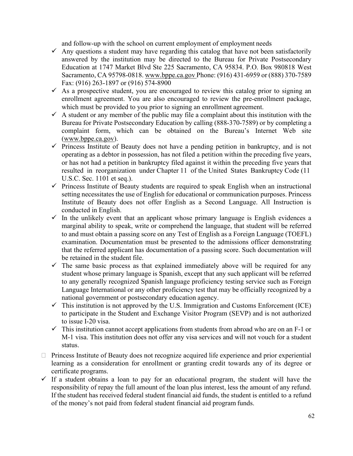and follow-up with the school on current employment of employment needs

- $\checkmark$  Any questions a student may have regarding this catalog that have not been satisfactorily answered by the institution may be directed to the Bureau for Private Postsecondary Education at 1747 Market Blvd Ste 225 Sacramento, CA 95834. P.O. Box 980818 West Sacramento, CA 95798-0818[. www.bppe.ca.gov P](http://www.bppe.ca.gov/)hone: (916) 431-6959 or (888) 370-7589 Fax: (916) 263-1897 or (916) 574-8900
- $\checkmark$  As a prospective student, you are encouraged to review this catalog prior to signing an enrollment agreement. You are also encouraged to review the pre-enrollment package, which must be provided to you prior to signing an enrollment agreement.
- $\checkmark$  A student or any member of the public may file a complaint about this institution with the Bureau for Private Postsecondary Education by calling (888-370-7589) or by completing a complaint form, which can be obtained on the Bureau's Internet Web site [\(www.bppe.ca.gov\)](http://www.bppe.ca.gov/).
- $\checkmark$  Princess Institute of Beauty does not have a pending petition in bankruptcy, and is not operating as a debtor in possession, has not filed a petition within the preceding five years, or has not had a petition in bankruptcy filed against it within the preceding five years that resulted in reorganization under Chapter 11 of the United States Bankruptcy Code (11 U.S.C. Sec. 1101 et seq.).
- $\checkmark$  Princess Institute of Beauty students are required to speak English when an instructional setting necessitates the use of English for educational or communication purposes. Princess Institute of Beauty does not offer English as a Second Language. All Instruction is conducted in English.
- $\checkmark$  In the unlikely event that an applicant whose primary language is English evidences a marginal ability to speak, write or comprehend the language, that student will be referred to and must obtain a passing score on any Test of English as a Foreign Language (TOEFL) examination. Documentation must be presented to the admissions officer demonstrating that the referred applicant has documentation of a passing score. Such documentation will be retained in the student file.
- $\checkmark$  The same basic process as that explained immediately above will be required for any student whose primary language is Spanish, except that any such applicant will be referred to any generally recognized Spanish language proficiency testing service such as Foreign Language International or any other proficiency test that may be officially recognized by a national government or postsecondary education agency.
- $\checkmark$  This institution is not approved by the U.S. Immigration and Customs Enforcement (ICE) to participate in the Student and Exchange Visitor Program (SEVP) and is not authorized to issue I-20 visa.
- $\checkmark$  This institution cannot accept applications from students from abroad who are on an F-1 or M-1 visa. This institution does not offer any visa services and will not vouch for a student status.
- Princess Institute of Beauty does not recognize acquired life experience and prior experiential learning as a consideration for enrollment or granting credit towards any of its degree or certificate programs.
- $\checkmark$  If a student obtains a loan to pay for an educational program, the student will have the responsibility of repay the full amount of the loan plus interest, less the amount of any refund. If the student has received federal student financial aid funds, the student is entitled to a refund of the money's not paid from federal student financial aid program funds.